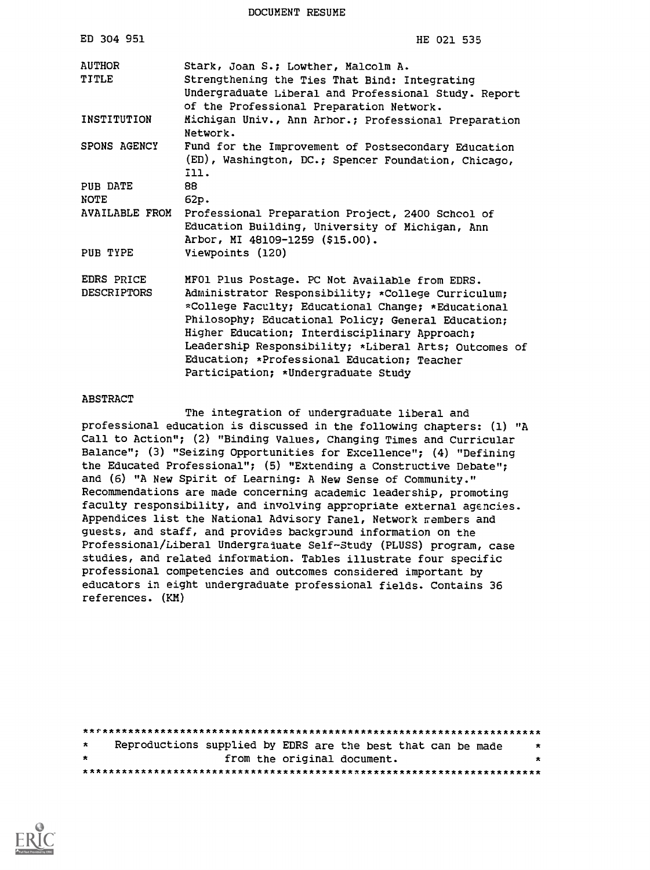DOCUMENT RESUME

| ED 304 951                       | HE 021 535                                                                                                                                                                                                                                                                                                                                                                                                       |
|----------------------------------|------------------------------------------------------------------------------------------------------------------------------------------------------------------------------------------------------------------------------------------------------------------------------------------------------------------------------------------------------------------------------------------------------------------|
| <b>AUTHOR</b><br>TITLE           | Stark, Joan S.; Lowther, Malcolm A.<br>Strengthening the Ties That Bind: Integrating<br>Undergraduate Liberal and Professional Study. Report<br>of the Professional Preparation Network.                                                                                                                                                                                                                         |
| INSTITUTION                      | Michigan Univ., Ann Arbor.; Professional Preparation<br>Network.                                                                                                                                                                                                                                                                                                                                                 |
| SPONS AGENCY                     | Fund for the Improvement of Postsecondary Education<br>(ED), Washington, DC.; Spencer Foundation, Chicago,<br>I11.                                                                                                                                                                                                                                                                                               |
| PUB DATE                         | 88                                                                                                                                                                                                                                                                                                                                                                                                               |
| <b>NOTE</b>                      | 62p.                                                                                                                                                                                                                                                                                                                                                                                                             |
| <b>AVAILABLE FROM</b>            | Professional Preparation Project, 2400 Schcol of<br>Education Building, University of Michigan, Ann<br>Arbor, MI 48109-1259 (\$15.00).                                                                                                                                                                                                                                                                           |
| PUB TYPE                         | Viewpoints (120)                                                                                                                                                                                                                                                                                                                                                                                                 |
| EDRS PRICE<br><b>DESCRIPTORS</b> | MFO1 Plus Postage. PC Not Available from EDRS.<br>Administrator Responsibility; *College Curriculum;<br>*College Faculty; Educational Change; *Educational<br>Philosophy; Educational Policy; General Education;<br>Higher Education; Interdisciplinary Approach;<br>Leadership Responsibility; *Liberal Arts; Outcomes of<br>Education; *Professional Education; Teacher<br>Participation; *Undergraduate Study |

#### ABSTRACT

The integration of undergraduate liberal and professional education is discussed in the following chapters: (1) "A Call to Action"; (2) "Binding Values, Changing Times and Curricular Balance"; (3) "Seizing Opportunities for Excellence"; (4) "Defining the Educated Professional"; (5) "Extending a Constructive Debate"; and (6) "A New Spirit of Learning: A New Sense of Community." Recommendations are made concerning academic leadership, promoting faculty responsibility, and involving appropriate external agencies. Appendices list the National Advisory Fanel, Network rembers and guests, and staff, and provides background information on the Professional/Liberal Undergraduate Self-Study (PLUSS) program, case studies, and related information. Tables illustrate four specific professional competencies and outcomes considered important by educators in eight undergraduate professional fields. Contains 36 references. (KM)

| $\star$ | Reproductions supplied by EDRS are the best that can be made |  |                             | -*      |
|---------|--------------------------------------------------------------|--|-----------------------------|---------|
| $\star$ |                                                              |  | from the original document. | $\star$ |
|         |                                                              |  |                             |         |

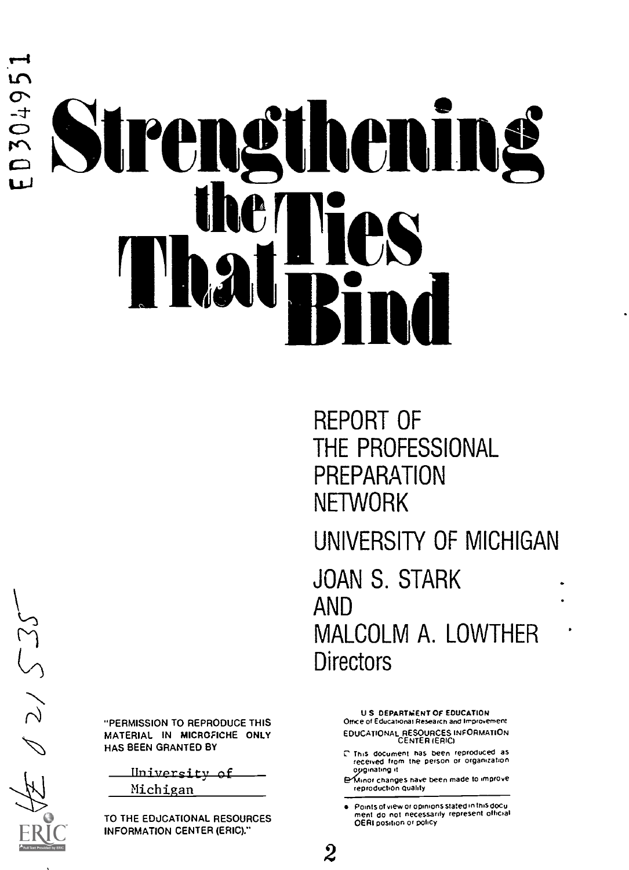# D304951 rengtheni That IICS. ni"Bind

REPORT OF THE PROFESSIONAL **PREPARATION NETWORK** UNIVERSITY OF MICHIGAN JOAN S. STARK AND MALCOLM A. LOWTHER **Directors** 

U S DEPARTMENT OF EDUCATION Office of Educational Research and Improvement EDUCATIONAL RESOURCES INFORMATION CENTER (ERIC/

- Thts document has been reproduced as received Iron, the person of Ofgan,zahon opginating it.
- e"Ufnof Changes have been made to improve rep roductton Quaid),

Points of view or opinions stated in this docu ment do not necessarily represent official OE RI positron or p0hCy

 $2\degree$ 

 $02/525$ 

"PERMISSION TO REPRODUCE THIS MATERIAL IN MICROFICHE ONLY HAS BEEN GRANTED BY

Iniversity of Michigan

TO THE EDUCATIONAL RESOURCES INFORMATION CENTER (ERIC)."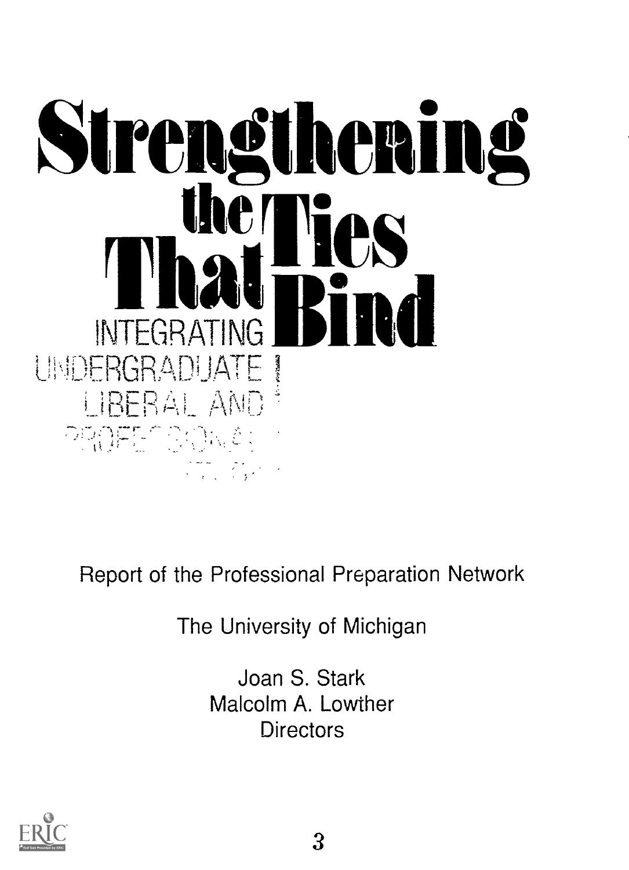

Report of the Professional Preparation Network

The University of Michigan

Joan S. Stark Malcolm A. Lowther **Directors** 

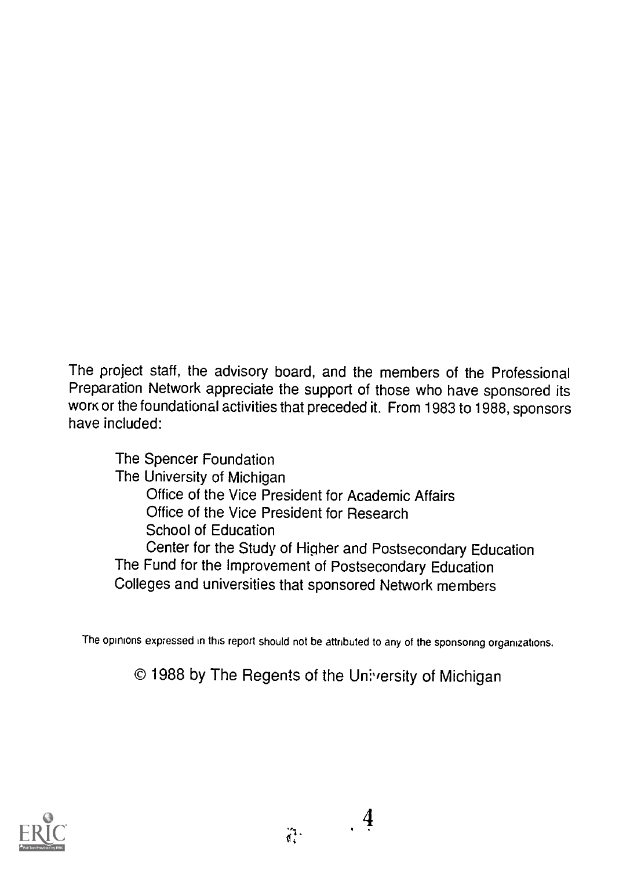The project staff, the advisory board, and the members of the Professional Preparation Network appreciate the support of those who have sponsored its work or the foundational activities that preceded it. From 1983 to 1988, sponsors have included:

The Spencer Foundation The University of Michigan Office of the Vice President for Academic Affairs Office of the Vice President for Research School of Education Center for the Study of Higher and Postsecondary Education The Fund for the Improvement of Postsecondary Education Colleges and universities that sponsored Network members

The opinions expressed in this report should not be attributed to any of the sponsoring organizations.

© 1988 by The Regents of the Un!versity of Michigan

4

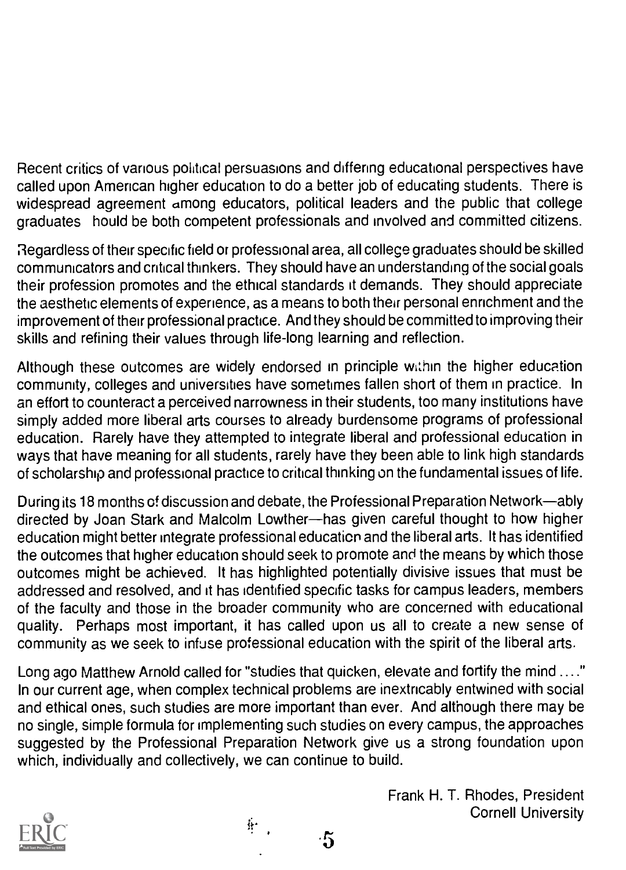Recent critics of various political persuasions and differing educational perspectives have called upon American higher education to do a better job of educating students. There is widespread agreement among educators, political leaders and the public that college graduates hould be both competent professionals and involved and committed citizens.

Regardless of their specific field or professional area, all college graduates should be skilled communicators and critical thinkers. They should have an understanding of the social goals their profession promotes and the ethical standards it demands. They should appreciate the aesthetic elements of experience, as a means to both their personal ennchment and the improvement of their professional practice. And they should be committed to improving their skills and refining their values through life-long learning and reflection.

Although these outcomes are widely endorsed in principle within the higher education community, colleges and universities have sometimes fallen short of them in practice. In an effort to counteract a perceived narrowness in their students, too many institutions have simply added more liberal arts courses to already burdensome programs of professional education. Rarely have they attempted to integrate liberal and professional education in ways that have meaning for all students, rarely have they been able to link high standards of scholarship and professional practice to critical thinking on the fundamental issues of life.

During its 18 months of discussion and debate, the Professional Preparation Network—ably directed by Joan Stark and Malcolm Lowther-has given careful thought to how higher education might better integrate professional education and the liberal arts. It has identified the outcomes that higher education should seek to promote and the means by which those outcomes might be achieved. It has highlighted potentially divisive issues that must be addressed and resolved, and it has identified specific tasks for campus leaders, members of the faculty and those in the broader community who are concerned with educational quality. Perhaps most important, it has called upon us all to create a new sense of community as we seek to infuse professional education with the spirit of the liberal arts.

Long ago Matthew Arnold called for "studies that quicken, elevate and fortify the mind ...." In our current age, when complex technical problems are inextricably entwined with social and ethical ones, such studies are more important than ever. And although there may be no single, simple formula for implementing such studies on every campus, the approaches suggested by the Professional Preparation Network give us a strong foundation upon which, individually and collectively, we can continue to build.

∯∙

 $\cdot 5$ 

Frank H. T. Rhodes, President Cornell University

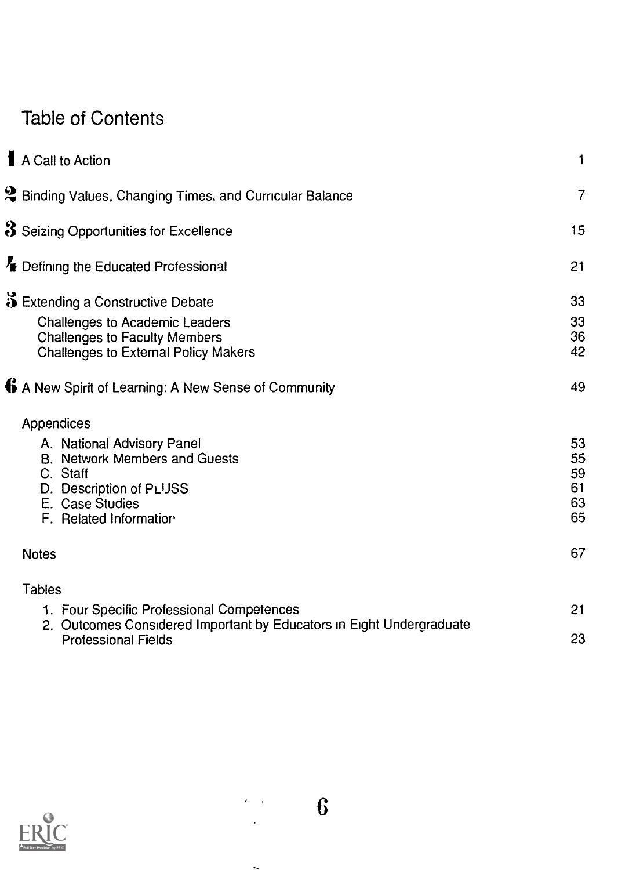#### Table of Contents

| A Call to Action                                                                                                                                       | 1                                |
|--------------------------------------------------------------------------------------------------------------------------------------------------------|----------------------------------|
| $2$ Binding Values, Changing Times, and Curricular Balance                                                                                             | 7                                |
| S Seizing Opportunities for Excellence                                                                                                                 | 15                               |
| Experiming the Educated Professional                                                                                                                   | 21                               |
| Extending a Constructive Debate                                                                                                                        | 33                               |
| Challenges to Academic Leaders<br><b>Challenges to Faculty Members</b><br><b>Challenges to External Policy Makers</b>                                  | 33<br>36<br>42                   |
| 6 A New Spirit of Learning: A New Sense of Community                                                                                                   | 49                               |
| Appendices                                                                                                                                             |                                  |
| A. National Advisory Panel<br><b>B. Network Members and Guests</b><br>C. Staff<br>D. Description of PLUSS<br>E. Case Studies<br>F. Related Information | 53<br>55<br>59<br>61<br>63<br>65 |
| <b>Notes</b>                                                                                                                                           | 67                               |
| <b>Tables</b>                                                                                                                                          |                                  |
| 1. Four Specific Professional Competences<br>2. Outcomes Considered Important by Educators in Eight Undergraduate                                      | 21                               |
| <b>Professional Fields</b>                                                                                                                             | 23                               |
|                                                                                                                                                        |                                  |



 $\overline{\phantom{a}}$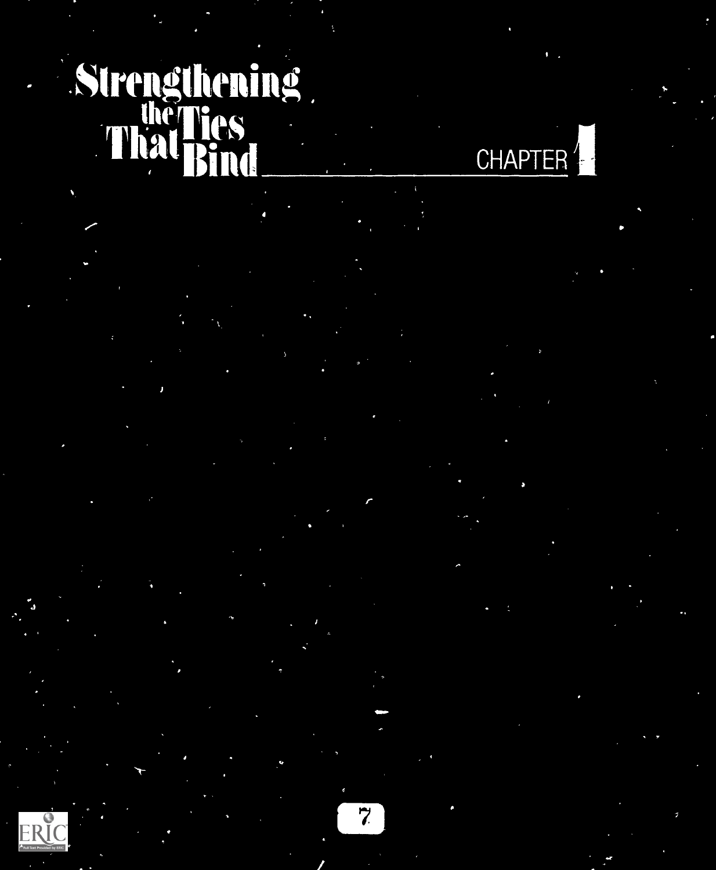# Strengthening Bind CHAPTER<sup>4</sup>

 $ERIC$ 

I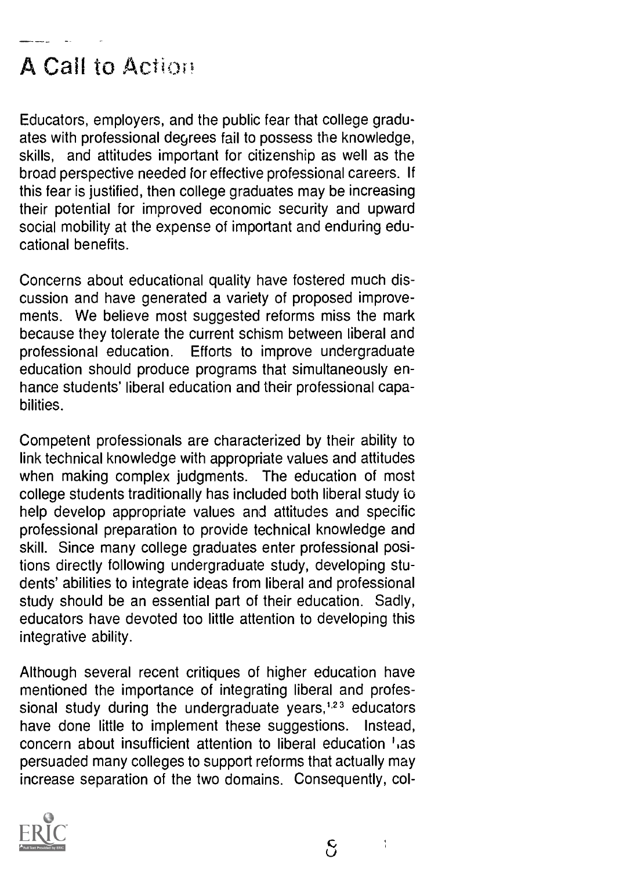### A Call to Action

Educators, employers, and the public fear that college graduates with professional degrees fail to possess the knowledge, skills, and attitudes important for citizenship as well as the broad perspective needed for effective professional careers. If this fear is justified, then college graduates may be increasing their potential for improved economic security and upward social mobility at the expense of important and enduring educational benefits.

Concerns about educational quality have fostered much discussion and have generated a variety of proposed improvements. We believe most suggested reforms miss the mark because they tolerate the current schism between liberal and professional education. Efforts to improve undergraduate education should produce programs that simultaneously enhance students' liberal education and their professional capabilities.

Competent professionals are characterized by their ability to link technical knowledge with appropriate values and attitudes when making complex judgments. The education of most college students traditionally has included both liberal study to help develop appropriate values and attitudes and specific professional preparation to provide technical knowledge and skill. Since many college graduates enter professional positions directly following undergraduate study, developing students' abilities to integrate ideas from liberal and professional study should be an essential part of their education. Sadly, educators have devoted too little attention to developing this integrative ability.

Although several recent critiques of higher education have mentioned the importance of integrating liberal and professional study during the undergraduate years, $1.23$  educators have done little to implement these suggestions. Instead, concern about insufficient attention to liberal education ',as persuaded many colleges to support reforms that actually may increase separation of the two domains. Consequently, col-



 $\frac{4}{3}$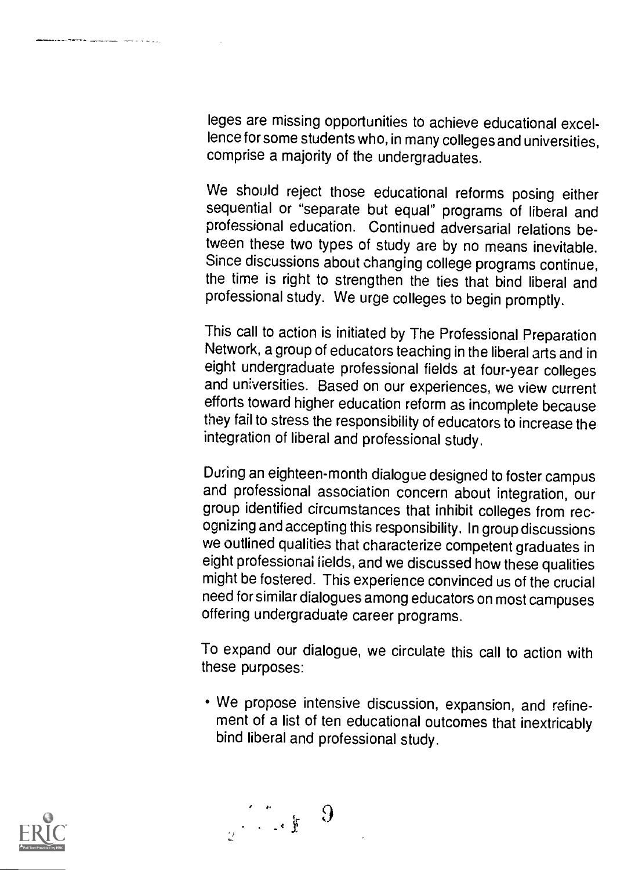leges are missing opportunities to achieve educational excellence for some students who, in many colleges and universities, comprise a majority of the undergraduates.

We should reject those educational reforms posing either sequential or "separate but equal" programs of liberal and professional education. Continued adversarial relations between these two types of study are by no means inevitable. Since discussions about changing college programs continue, the time is right to strengthen the ties that bind liberal and professional study. We urge colleges to begin promptly.

This call to action is initiated by The Professional Preparation Network, a group of educators teaching in the liberal arts and in eight undergraduate professional fields at four-year colleges and universities. Based on our experiences, we view current efforts toward higher education reform as incomplete because they fail to stress the responsibility of educators to increase the integration of liberal and professional study.

During an eighteen-month dialogue designed to foster campus and professional association concern about integration, our group identified circumstances that inhibit colleges from recognizing and accepting this responsibility. In group discussions we outlined qualities that characterize competent graduates in eight professional fields, and we discussed how these qualities might be fostered. This experience convinced us of the crucial need for similar dialogues among educators on most campuses offering undergraduate career programs.

To expand our dialogue, we circulate this call to action with these purposes:

We propose intensive discussion, expansion, and refinement of a list of ten educational outcomes that inextricably bind liberal and professional study.



 $\begin{array}{c} \mathbb{R}^n \times \mathbb{R}^n \times \mathbb{R}^n \times \mathbb{R}^n \times \mathbb{R}^n \times \mathbb{R}^n \times \mathbb{R}^n \times \mathbb{R}^n \times \mathbb{R}^n \times \mathbb{R}^n \times \mathbb{R}^n \times \mathbb{R}^n \times \mathbb{R}^n \times \mathbb{R}^n \times \mathbb{R}^n \times \mathbb{R}^n \times \mathbb{R}^n \times \mathbb{R}^n \times \mathbb{R}^n \times \mathbb{R}^n \times \mathbb{R}^n \times \mathbb$ 

 $\Omega$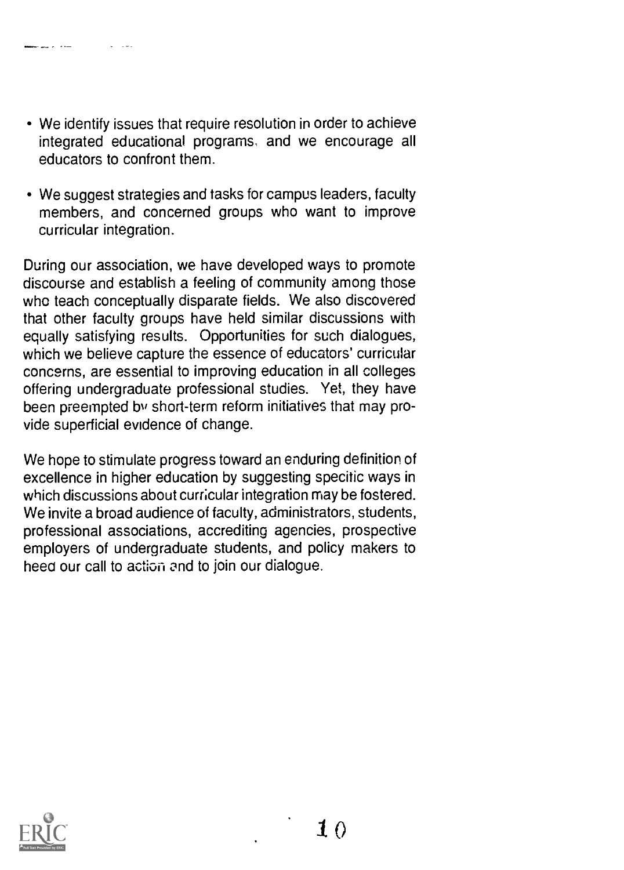- We identify issues that require resolution in order to achieve integrated educational programs, and we encourage all educators to confront them.
- We suggest strategies and tasks for campus leaders, faculty members, and concerned groups who want to improve curricular integration.

During our association, we have developed ways to promote discourse and establish a feeling of community among those who teach conceptually disparate fields. We also discovered that other faculty groups have held similar discussions with equally satisfying results. Opportunities for such dialogues, which we believe capture the essence of educators' curricular concerns, are essential to improving education in all colleges offering undergraduate professional studies. Yet, they have been preempted by short-term reform initiatives that may provide superficial evidence of change.

We hope to stimulate progress toward an enduring definition of excellence in higher education by suggesting specitic ways in which discussions about curricular integration may be fostered. We invite a broad audience of faculty, administrators, students, professional associations, accrediting agencies, prospective employers of undergraduate students, and policy makers to heed our call to action and to join our dialogue.

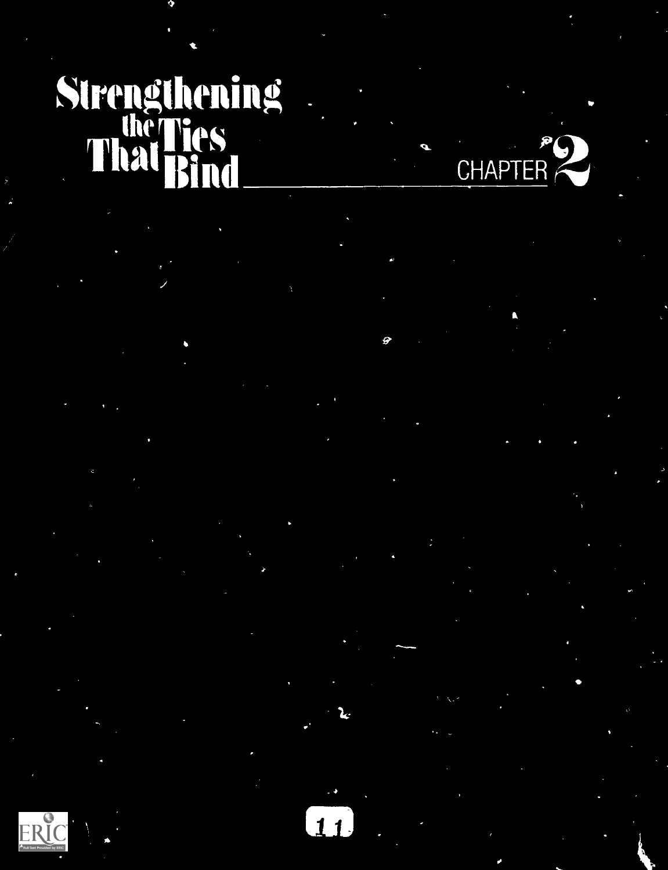# Strengthening ThihaegirieS "" Bind

 $\mathcal{P}(\mathcal{P})$  $CHAPIER$  , and  $\sim$ 

19.

 $\overline{11}$ 

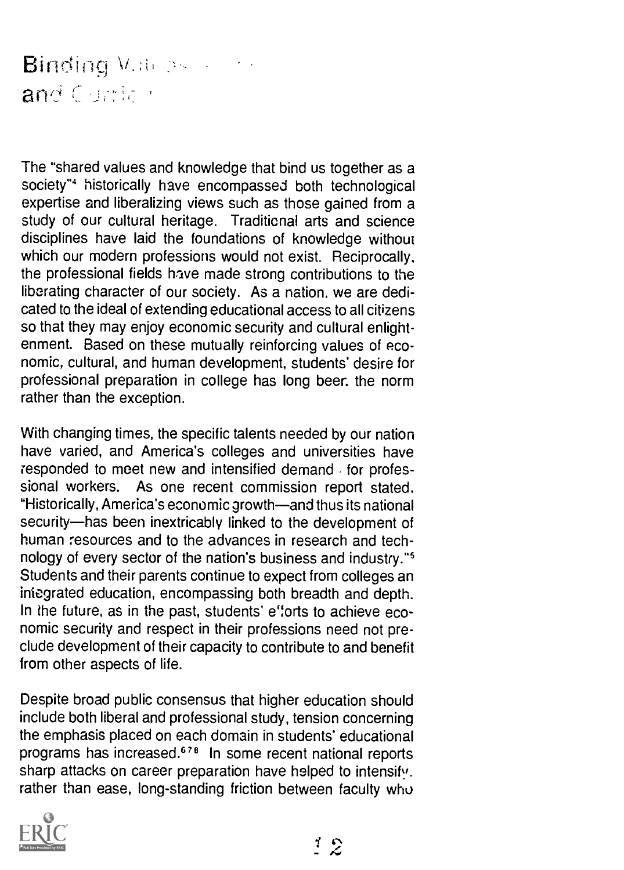#### **Binding**  $V_{\rm eff}$  ps  $V_{\rm eff}$ and Captica

The "shared values and knowledge that bind us together as a society"<sup>4</sup> historically have encompassed both technological expertise and liberalizing views such as those gained from a study of our cultural heritage. Traditicnal arts and science disciplines have laid the foundations of knowledge without which our modern professions would not exist. Reciprocally. the professional fields have made strong contributions to the liberating character of our society. As a nation, we are dedicated to the ideal of extending educational access to all citizens so that they may enjoy economic security and cultural enlightenment. Based on these mutually reinforcing values of economic, cultural, and human development, students' desire for professional preparation in college has long beer. the norm rather than the exception.

With changing times, the specific talents needed by our nation have varied, and America's colleges and universities have responded to meet new and intensified demand for professional workers. As one recent commission report stated. "Historically, America's economic growth-and thus its national security-has been inextricably linked to the development of human resources and to the advances in research and technology of every sector of the nation's business and industry." Students and their parents continue to expect from colleges an integrated education, encompassing both breadth and depth. In the future, as in the past, students' e"orts to achieve economic security and respect in their professions need not preclude development of their capacity to contribute to and benefit from other aspects of life.

Despite broad public consensus that higher education should include both liberal and professional study, tension concerning the emphasis placed on each domain in students' educational programs has increased.67° In some recent national reports sharp attacks on career preparation have helped to intensify. rather than ease, long-standing friction between faculty who

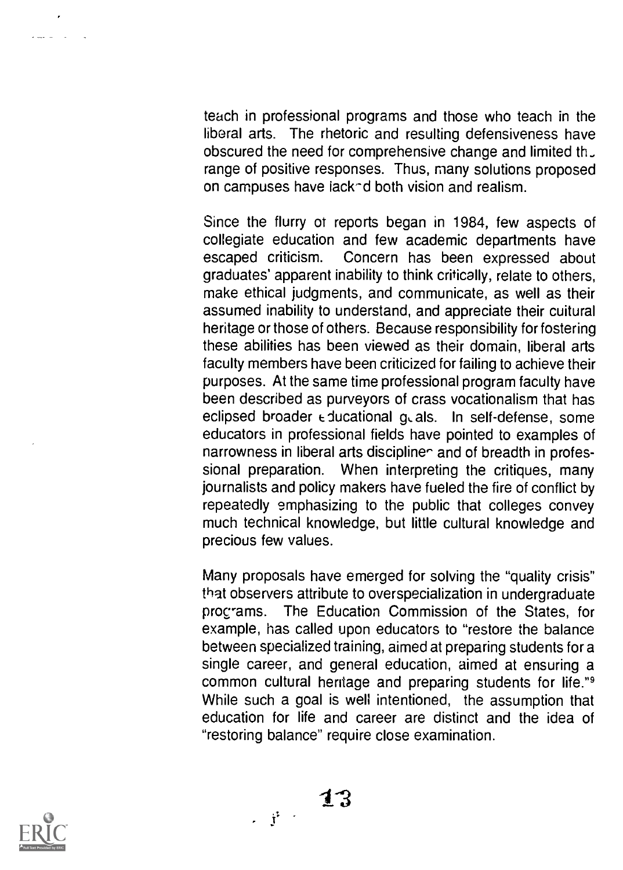teach in professional programs and those who teach in the liberal arts. The rhetoric and resulting defensiveness have obscured the need for comprehensive change and limited th. range of positive responses. Thus, many solutions proposed on campuses have iack-d both vision and realism.

Since the flurry of reports began in 1984, few aspects of collegiate education and few academic departments have<br>escaped criticism. Concern has been expressed about Concern has been expressed about graduates' apparent inability to think critically, relate to others, make ethical judgments, and communicate, as well as their assumed inability to understand, and appreciate their cuitural heritage or those of others. Because responsibility for fostering these abilities has been viewed as their domain, liberal arts faculty members have been criticized for failing to achieve their purposes. At the same time professional program faculty have been described as purveyors of crass vocationalism that has eclipsed broader  $\epsilon$  ducational  $q_c$  als. In self-defense, some educators in professional fields have pointed to examples of narrowness in liberal arts discipline and of breadth in professional preparation. When interpreting the critiques, many When interpreting the critiques, many journalists and policy makers have fueled the fire of conflict by repeatedly emphasizing to the public that colleges convey much technical knowledge, but little cultural knowledge and precious few values.

Many proposals have emerged for solving the "quality crisis" that observers attribute to overspecialization in undergraduate procrams. The Education Commission of the States, for example, has called upon educators to "restore the balance between specialized training, aimed at preparing students for a single career, and general education, aimed at ensuring a common cultural heritage and preparing students for life."9 While such a goal is well intentioned, the assumption that education for life and career are distinct and the idea of "restoring balance" require close examination.



الدارات علياء

 $\frac{1}{3}$  13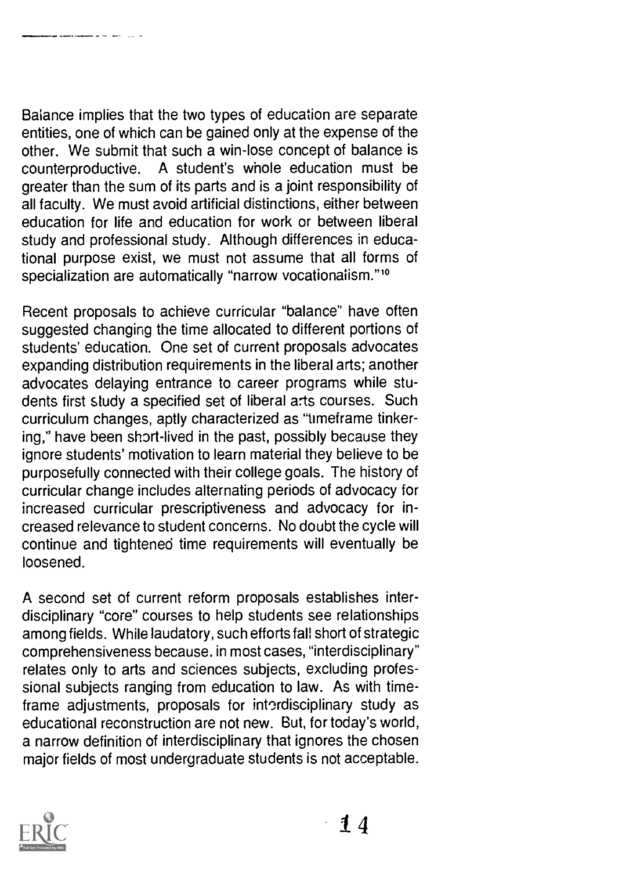Balance implies that the two types of education are separate entities, one of which can be gained only at the expense of the other. We submit that such a win-lose concept of balance is counterproductive. A student's whole education must be greater than the sum of its parts and is a joint responsibility of all faculty. We must avoid artificial distinctions, either between education for life and education for work or between liberal study and professional study. Although differences in educational purpose exist, we must not assume that all forms of specialization are automatically "narrow vocationalism."<sup>10</sup>

Recent proposals to achieve curricular "balance" have often suggested changing the time allocated to different portions of students' education. One set of current proposals advocates expanding distribution requirements in the liberal arts; another advocates delaying entrance to career programs while students first study a specified set of liberal arts courses. Such curriculum changes, aptly characterized as "timeframe tinkering," have been short-lived in the past, possibly because they ignore students' motivation to learn material they believe to be purposefully connected with their college goals. The history of curricular change includes alternating periods of advocacy for increased curricular prescriptiveness and advocacy for increased relevance to student concerns. No doubt the cycle will continue and tightened time requirements will eventually be loosened.

A second set of current reform proposals establishes interdisciplinary "core" courses to help students see relationships among fields. While laudatory, such efforts fall short of strategic comprehensiveness because. in most cases, "interdisciplinary" relates only to arts and sciences subjects, excluding professional subjects ranging from education to law. As with timeframe adjustments, proposals for interdisciplinary study as educational reconstruction are not new. But, for today's world, a narrow definition of interdisciplinary that ignores the chosen major fields of most undergraduate students is not acceptable.

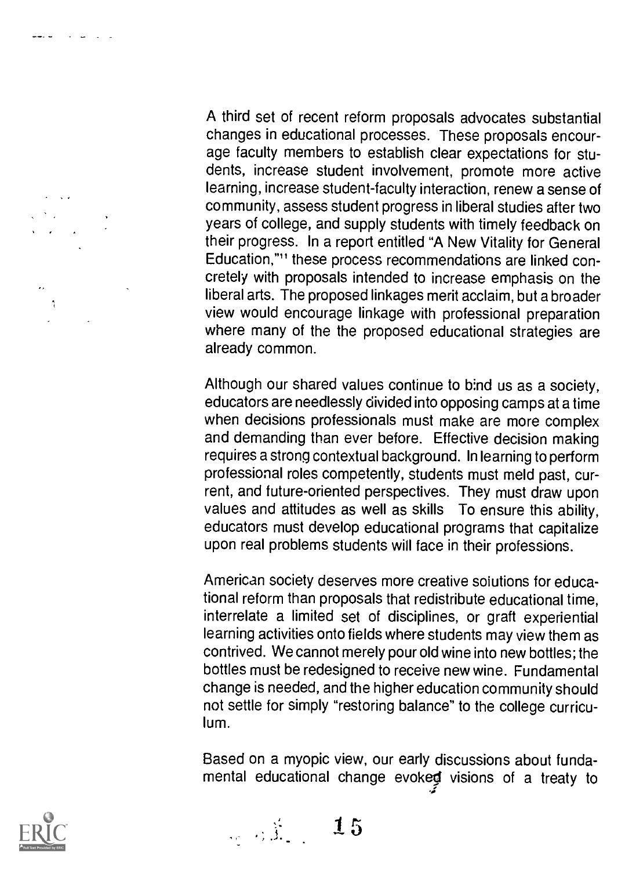A third set of recent reform proposals advocates substantial changes in educational processes. These proposals encourage faculty members to establish clear expectations for students, increase student involvement, promote more active learning, increase student-faculty interaction, renew a sense of community, assess student progress in liberal studies after two years of college, and supply students with timely feedback on their progress. In a report entitled "A New Vitality for General Education,"" these process recommendations are linked concretely with proposals intended to increase emphasis on the liberal arts. The proposed linkages merit acclaim, but a broader view would encourage linkage with professional preparation where many of the the proposed educational strategies are already common.

Although our shared values continue to bind us as a society, educators are needlessly divided into opposing camps at a time when decisions professionals must make are more complex and demanding than ever before. Effective decision making requires a strong contextual background. In learning to perform professional roles competently, students must meld past, current, and future-oriented perspectives. They must draw upon values and attitudes as well as skills To ensure this ability, educators must develop educational programs that capitalize upon real problems students will face in their professions.

American society deserves more creative solutions for educational reform than proposals that redistribute educational time, interrelate a limited set of disciplines, or graft experiential learning activities onto fields where students may view them as contrived. We cannot merely pour old wine into new bottles; the bottles must be redesigned to receive new wine. Fundamental change is needed, and the higher education community should not settle for simply "restoring balance" to the college curriculum.

Based on a myopic view, our early discussions about fundamental educational change evoked visions of a treaty to



 $\mathcal{L} = \sqrt{2}$ 

 $\mathcal{L} = \mathcal{L}$ 

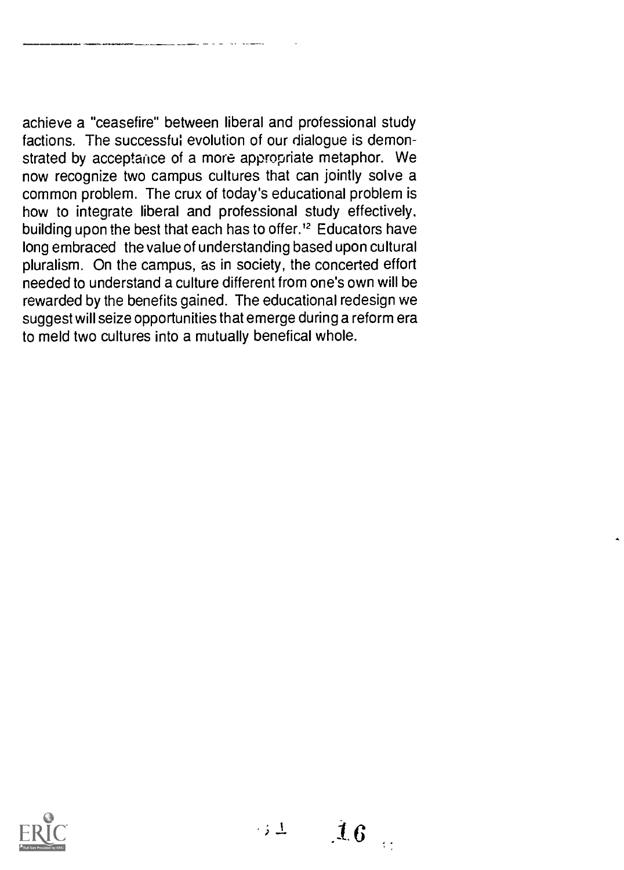achieve a "ceasefire" between liberal and professional study factions. The successful evolution of our dialogue is demonstrated by acceptance of a more appropriate metaphor. We now recognize two campus cultures that can jointly solve a common problem. The crux of today's educational problem is how to integrate liberal and professional study effectively, building upon the best that each has to offer.<sup>12</sup> Educators have long embraced the value of understanding based upon cultural pluralism. On the campus, as in society, the concerted effort needed to understand a culture different from one's own will be rewarded by the benefits gained. The educational redesign we suggest will seize opportunities that emerge during a reform era to meld two cultures into a mutually benefical whole.



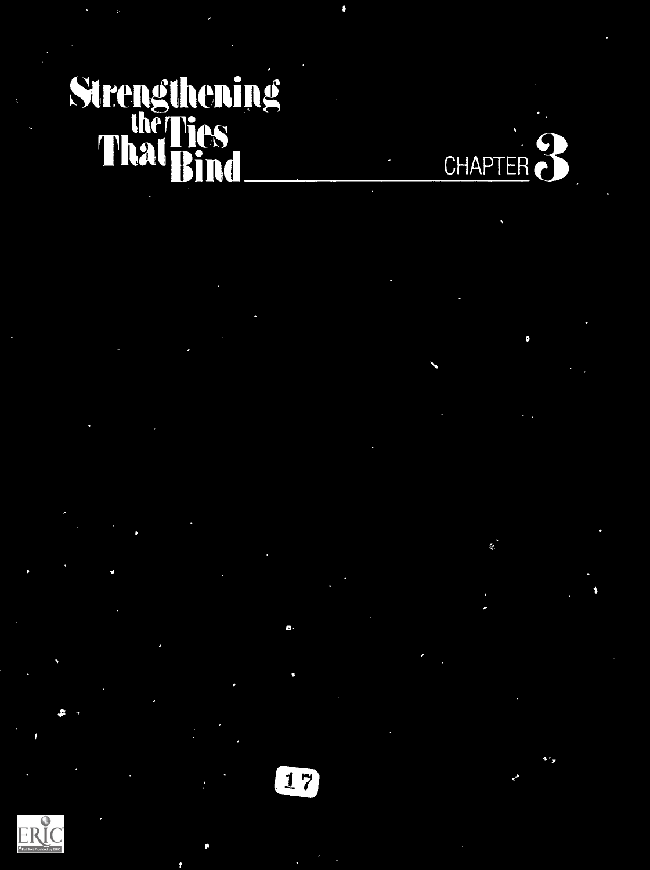# Strengthening  $\frac{1}{2}$  Tes **Thay Bind**



 $\bullet$  is a set of  $\bullet$ 

 $\mathbf{a}$ 



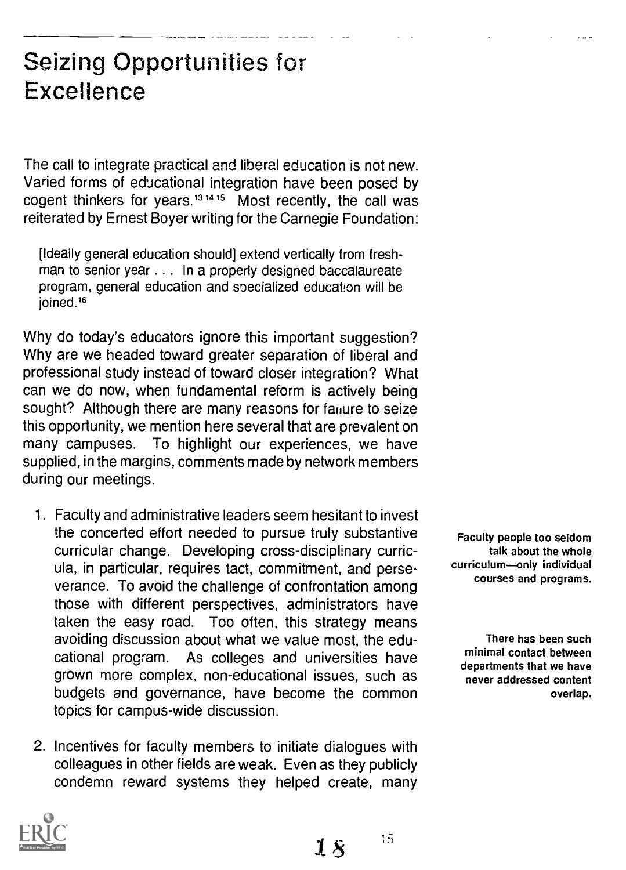#### Seizing Opportunities for Excellence

The call to integrate practical and liberal education is not new. Varied forms of educational integration have been posed by cogent thinkers for years.<sup>13,14,15</sup> Most recently, the call was reiterated by Ernest Boyer writing for the Carnegie Foundation:

[Ideaily general education should] extend vertically from freshman to senior year . . . In a properly designed baccalaureate program, general education and specialized education will be ioined.<sup>16</sup>

Why do today's educators ignore this important suggestion? Why are we headed toward greater separation of liberal and professional study instead of toward closer integration? What can we do now, when fundamental reform is actively being sought? Although there are many reasons for failure to seize this opportunity, we mention here several that are prevalent on many campuses. To highlight our experiences, we have supplied, in the margins, comments made by network members during our meetings.

- 1. Faculty and administrative leaders seem hesitant to invest the concerted effort needed to pursue truly substantive curricular change. Developing cross-disciplinary curricula, in particular, requires tact, commitment, and perseverance. To avoid the challenge of confrontation among those with different perspectives, administrators have taken the easy road. Too often, this strategy means avoiding discussion about what we value most, the educational program. As colleges and universities have grown more complex, non-educational issues, such as budgets and governance, have become the common topics for campus-wide discussion.
- 2. Incentives for faculty members to initiate dialogues with colleagues in other fields are weak. Even as they publicly condemn reward systems they helped create, many

Faculty people too seldom talk about the whole curriculum-only individual courses and programs.

There has been such minimal contact between departments that we have never addressed content overlap.



 $15$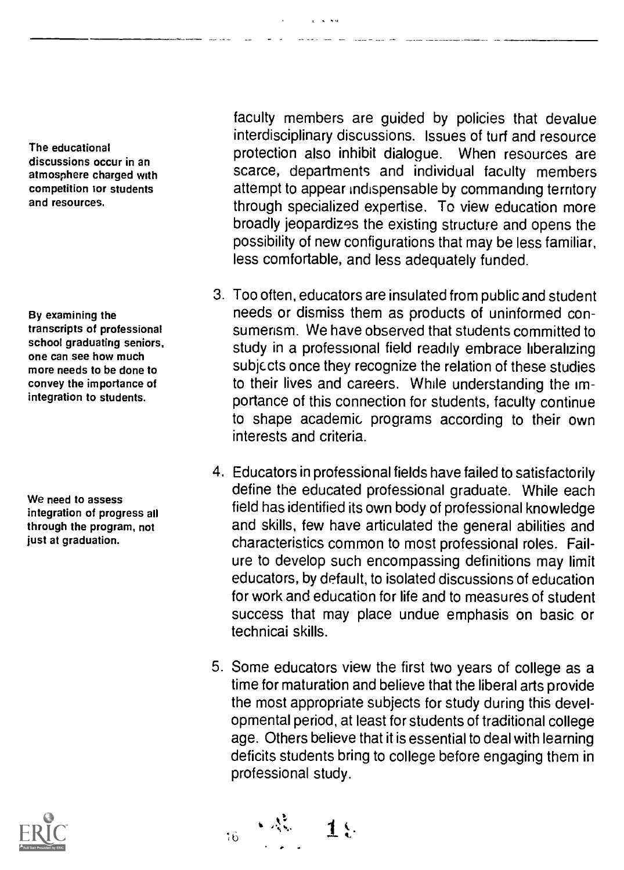The educational discussions occur in an atmosphere charged with competition tor students and resources.

By examining the transcripts of professional school graduating seniors, one can see how much more needs to be done to convey the importance of integration to students.

We need to assess integration of progress all through the program, not just at graduation.

faculty members are guided by policies that devalue interdisciplinary discussions. Issues of turf and resource protection also inhibit dialogue. When resources are scarce, departments and individual faculty members attempt to appear indispensable by commanding territory through specialized expertise. To view education more broadly jeopardizes the existing structure and opens the possibility of new configurations that may be less familiar, less comfortable, and less adequately funded.

- 3. Too often, educators are insulated from public and student needs or dismiss them as products of uninformed consumerism. We have observed that students committed to study in a professional field readily embrace liberalizing subjects once they recognize the relation of these studies to their lives and careers. While understanding the importance of this connection for students, faculty continue to shape academic programs according to their own interests and criteria.
- 4. Educators in professional fields have failed to satisfactorily define the educated professional graduate. While each field has identified its own body of professional knowledge and skills, few have articulated the general abilities and characteristics common to most professional roles. Failure to develop such encompassing definitions may limit educators, by default, to isolated discussions of education for work and education for life and to measures of student success that may place undue emphasis on basic or technicai skills.
- 5. Some educators view the first two years of college as a time for maturation and believe that the liberal arts provide the most appropriate subjects for study during this developmental period, at least for students of traditional college age. Others believe that it is essential to deal with learning deficits students bring to college before engaging them in professional study.

 $1.9$ 

 $16$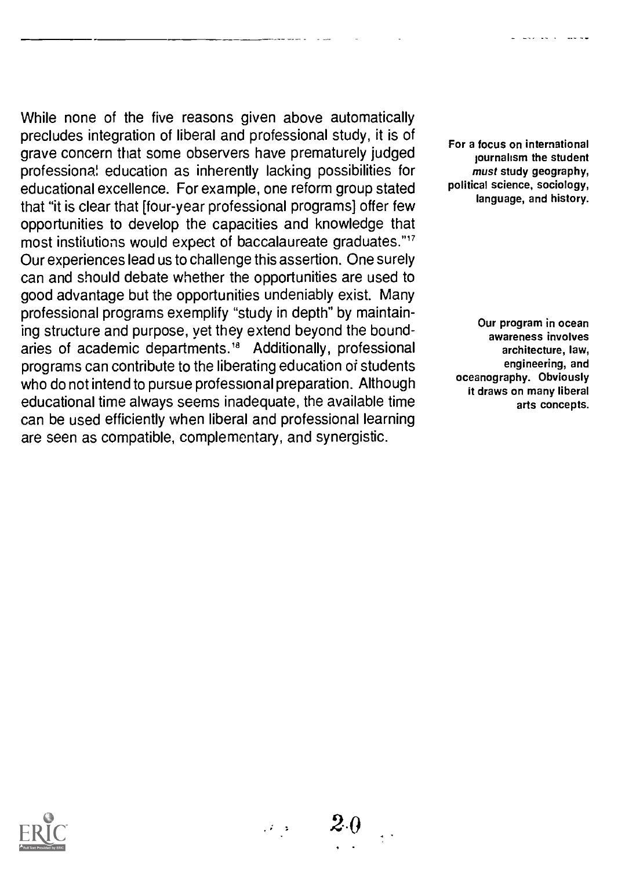While none of the five reasons given above automatically precludes integration of liberal and professional study, it is of grave concern that some observers have prematurely judged professions; education as inherently lacking possibilities for educational excellence. For example, one reform group stated that "it is clear that [four-year professional programs] offer few opportunities to develop the capacities and knowledge that most institutions would expect of baccalaureate graduates."' Our experiences lead us to challenge this assertion. One surely can and should debate whether the opportunities are used to good advantage but the opportunities undeniably exist. Many professional programs exemplify "study in depth" by maintaining structure and purpose, yet they extend beyond the boundaries of academic departments.<sup>18</sup> Additionally, professional programs can contribute to the liberating education of students who do not intend to pursue professional preparation. Although educational time always seems inadequate, the available time can be used efficiently when liberal and professional learning are seen as compatible, complementary, and synergistic.

For a focus on international journalism the student must study geography, political science, sociology, language, and history.

a circuit anns

Our program in ocean awareness involves architecture, law, engineering, and oceanography. Obviously it draws on many liberal arts concepts.



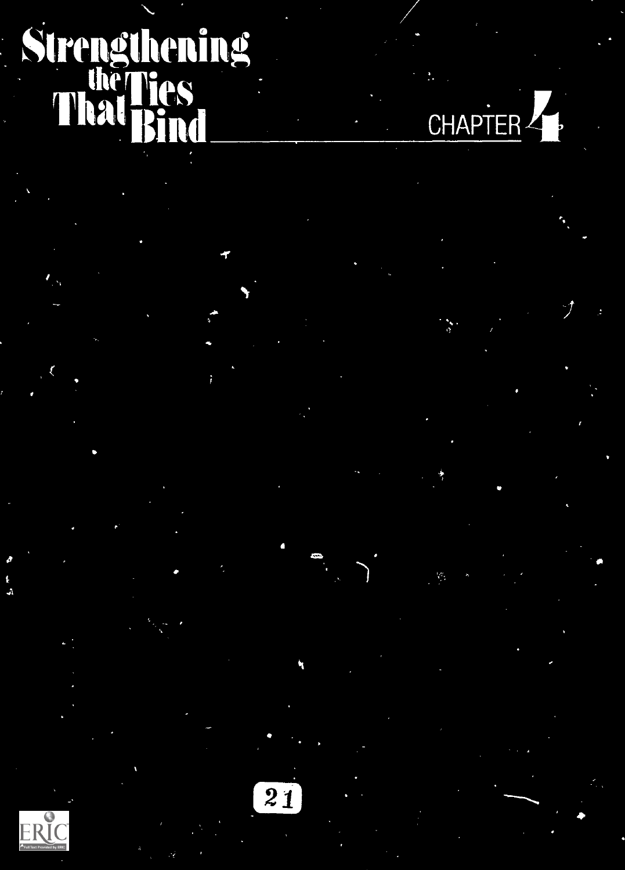# Strengthening That Rind Company of the Company of the Company of the Company of the Company of the Company of the Company of

 $E_{\text{Full Text Provided by ERC}}$ 

1

 $\overline{21}$ 

V

CHAPTER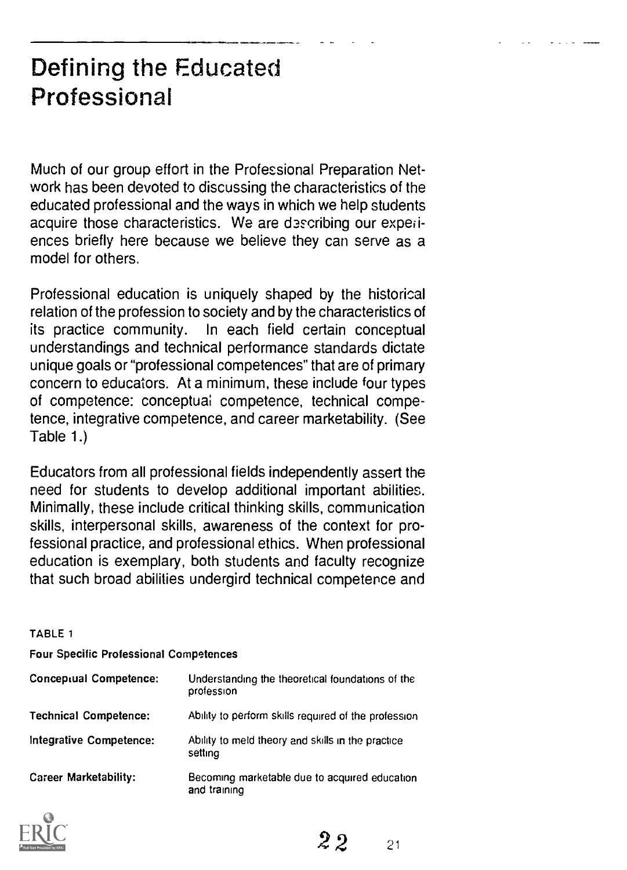### Defining the Educated Professional

Much of our group effort in the Professional Preparation Network has been devoted to discussing the characteristics of the educated professional and the ways in which we help students acquire those characteristics. We are describing our experiences briefly here because we believe they can serve as a model for others.

Professional education is uniquely shaped by the historical relation of the profession to society and by the characteristics of its practice community. In each field certain conceptual understandings and technical performance standards dictate unique goals or "professional competences" that are of primary concern to educators. At a minimum, these include four types of competence: conceptual competence, technical competence, integrative competence, and career marketability. (See Table 1.)

Educators from all professional fields independently assert the need for students to develop additional important abilities. Minimally, these include critical thinking skills, communication skills, interpersonal skills, awareness of the context for professional practice, and professional ethics. When professional education is exemplary, both students and faculty recognize that such broad abilities undergird technical competence and

#### TABLE 1

Four Specific Professional Competences

| Conceptual Competence:       | Understanding the theoretical foundations of the<br>profession |
|------------------------------|----------------------------------------------------------------|
| <b>Technical Competence:</b> | Ability to perform skills required of the profession           |
| Integrative Competence:      | Ability to meld theory and skills in the practice<br>setting   |
| Career Marketability:        | Becoming marketable due to acquired education<br>and training  |



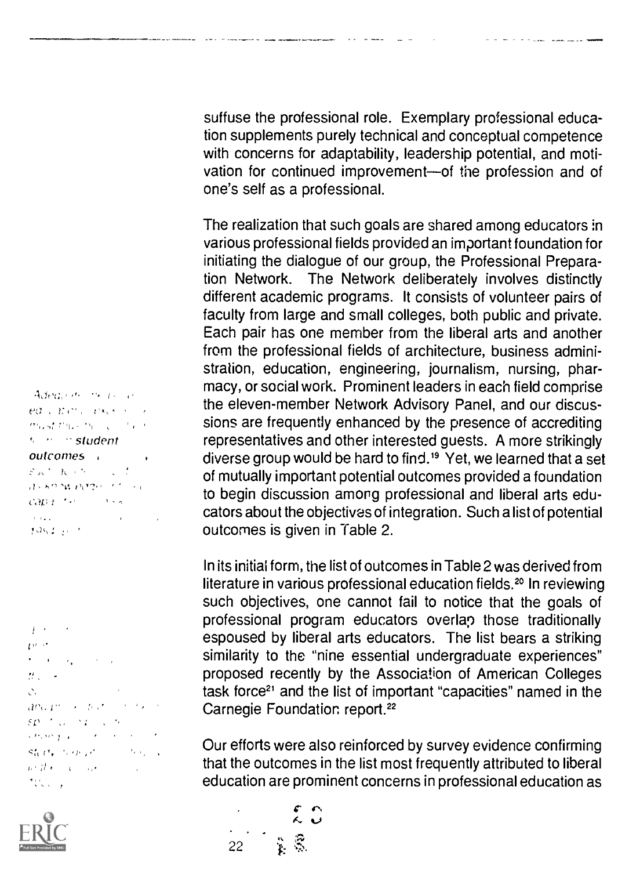suffuse the professional role. Exemplary professional education supplements purely technical and conceptual competence with concerns for adaptability, leadership potential, and motivation for continued improvement-of the profession and of one's self as a professional.

**The company of the exploration of the company and control of the company of the company of the company of the** 

The realization that such goals are shared among educators in various professional fields provided an important foundation for initiating the dialogue of our group, the Professional Preparation Network. The Network deliberately involves distinctly different academic programs. It consists of volunteer pairs of faculty from large and small colleges, both public and private. Each pair has one member from the liberal arts and another from the professional fields of architecture, business administration, education, engineering, journalism, nursing, pharmacy, or social work. Prominent leaders in each field comprise the eleven-member Network Advisory Panel, and our discussions are frequently enhanced by the presence of accrediting representatives and other interested guests. A more strikingly diverse group would be hard to find.19 Yet, we learned that a set of mutually important potential outcomes provided a foundation to begin discussion among professional and liberal arts educators about the objectives of integration. Such a list of potential outcomes is given in Table 2.

In its initial form, the list of outcomes in Table 2 was derived from literature in various professional education fields.<sup>20</sup> In reviewing such objectives, one cannot fail to notice that the goals of professional program educators overlap those traditionally espoused by liberal arts educators. The list bears a striking similarity to the "nine essential undergraduate experiences" proposed recently by the Association of American Colleges task force<sup>21</sup> and the list of important "capacities" named in the Carnegie Foundation report.<sup>22</sup>

Our efforts were also reinforced by survey evidence confirming that the outcomes in the list most frequently attributed to liberal education are prominent concerns in professional education as

ed carety excellent must thus the contact  $s \sim s$ tudent outcomes  $\mathcal{E}$  at  $\mathcal{H}$  and  $\mathcal{E}$  are  $\mathcal{E}$  $,75.62.94.0224.72.74.7$  $CAD(1)^{-\frac{1}{2}}$  and  $C = 1$  and  $C = 1$  $\alpha$  and  $\alpha$  and  $\alpha$  $106.13133$ 

Adequate the parties

 $\overline{t}$  . The set of  $\overline{t}$  $D^{(n+1)}$  $\sigma_{\rm c}$  ,  $\sigma_{\rm c}$  ,  $\sigma_{\rm g}$  , and  $\sigma_{\rm c}$  $H_{\rm X}$  ,  $\sim$   $\sim$  $\mathcal{O}_{\mathcal{C}}$  $ar_0r' \rightarrow ar_1'$  ,  $r_1'$  $SP = 1.003$   $P = 1.5$ Company of the Company of the Steely terms of the **Contractor**  $\label{eq:2} \mathbf{p} \in \mathcal{G} \left( \mathbf{r} \right) \times \mathbf{q} \times \mathbf{q} \times \mathbf{q}$ かいしょ



. 22 单景 r<br>K. O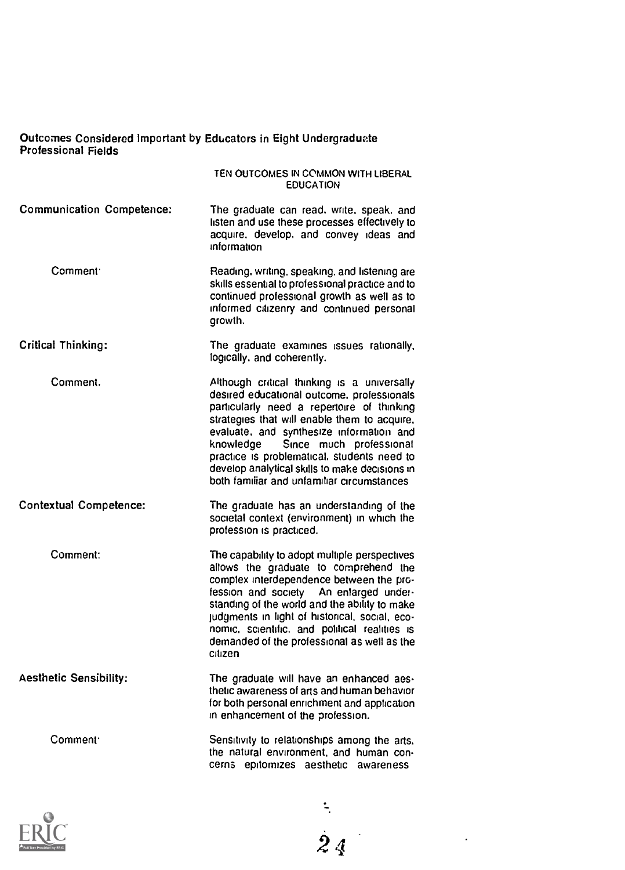#### Outcomes Considered Important by Educators in Eight Undergraduate Professional Fields

#### TEN OUTCOMES IN COMMON WITH LIBERAL EDUCATION

- Communication Competence: The graduate can read, write, speak. and listen and use these processes effectively to acquire. develop, and convey ideas and information
- Comment. Reading. writing. speaking. and listening are skills essential to professional practice and to continued professional growth as well as to informed citizenry and continued personal growth.
- Critical Thinking: The graduate examines issues rationally. logically, and coherently.
- Comment. Although critical thinking is a universally desired educational outcome, professionals particularly need a repertoire of thinking strategies that will enable them to acquire. evaluate, and synthesize information and knowledge Since much professional practice is problematical. students need to develop analytical skills to make decisions in both familiar and unfamiliar circumstances
- Contextual Competence: The graduate has an understanding of the societal context (environment) in which the profession is practiced.

Comment: The capability to adopt multiple perspectives allows the graduate to comprehend the complex interdependence between the profession and society An enlarged understanding of the world and the ability to make judgments in light of historical, social, economic. scientific, and political realities is demanded of the professional as well as the citizen

Aesthetic Sensibility: The graduate will have an enhanced aesthetic awareness of arts and human behavior for both personal enrichment and application in enhancement of the profession.

> Sensitivity to relationships among the arts. the natural environment, and human con cerns epitomizes aesthetic awareness



Comment'

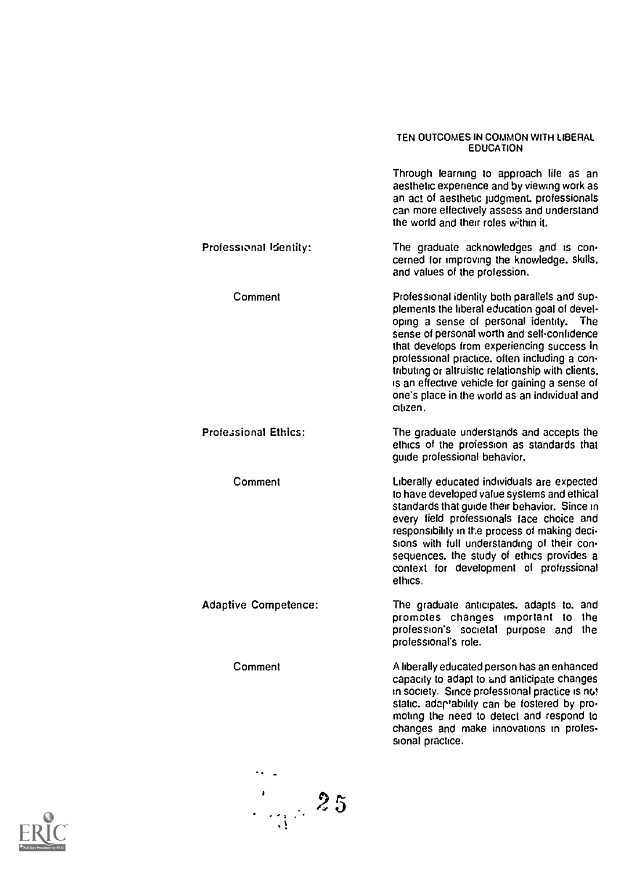#### TEN OUTCOMES IN COMMON WITH LIBERAL EDUCATION

| Through learning to approach life as an<br>aesthetic experience and by viewing work as<br>an act of aesthetic judgment, professionals<br>can more effectively assess and understand<br>the world and their roles within it.<br>Professional Identity:<br>The graduate acknowledges and is con-<br>cerned for improving the knowledge. skills,<br>and values of the profession.<br>Comment<br>Professional identity both parallels and sup-<br>plements the liberal education goal of devel-<br>oping a sense of personal identity.<br>The<br>sense of personal worth and self-confidence<br>that develops from experiencing success in<br>professional practice, often including a con-<br>tributing or altruistic relationship with clients,<br>is an effective vehicle for gaining a sense of<br>one's place in the world as an individual and<br>citizen.<br><b>Professional Ethics:</b><br>The graduate understands and accepts the<br>ethics of the profession as standards that<br>quide professional behavior.<br>Comment<br>Liberally educated individuals are expected<br>to have developed value systems and ethical<br>standards that quide their behavior. Since in<br>every field professionals face choice and<br>responsibility in the process of making deci-<br>sions with full understanding of their con-<br>sequences, the study of ethics provides a<br>context for development of professional<br>ethics.<br><b>Adaptive Competence:</b><br>The graduate anticipates, adapts to, and<br>promotes changes important to<br>the<br>profession's societal purpose and the<br>professional's role.<br>Comment<br>A liberally educated person has an enhanced<br>capacity to adapt to and anticipate changes<br>in society. Since professional practice is not<br>static. adaptability can be fostered by pro-<br>moting the need to detect and respond to<br>changes and make innovations in profes- |                  |
|-----------------------------------------------------------------------------------------------------------------------------------------------------------------------------------------------------------------------------------------------------------------------------------------------------------------------------------------------------------------------------------------------------------------------------------------------------------------------------------------------------------------------------------------------------------------------------------------------------------------------------------------------------------------------------------------------------------------------------------------------------------------------------------------------------------------------------------------------------------------------------------------------------------------------------------------------------------------------------------------------------------------------------------------------------------------------------------------------------------------------------------------------------------------------------------------------------------------------------------------------------------------------------------------------------------------------------------------------------------------------------------------------------------------------------------------------------------------------------------------------------------------------------------------------------------------------------------------------------------------------------------------------------------------------------------------------------------------------------------------------------------------------------------------------------------------------------------------------------------------------------------------------------------------------|------------------|
|                                                                                                                                                                                                                                                                                                                                                                                                                                                                                                                                                                                                                                                                                                                                                                                                                                                                                                                                                                                                                                                                                                                                                                                                                                                                                                                                                                                                                                                                                                                                                                                                                                                                                                                                                                                                                                                                                                                       |                  |
|                                                                                                                                                                                                                                                                                                                                                                                                                                                                                                                                                                                                                                                                                                                                                                                                                                                                                                                                                                                                                                                                                                                                                                                                                                                                                                                                                                                                                                                                                                                                                                                                                                                                                                                                                                                                                                                                                                                       |                  |
|                                                                                                                                                                                                                                                                                                                                                                                                                                                                                                                                                                                                                                                                                                                                                                                                                                                                                                                                                                                                                                                                                                                                                                                                                                                                                                                                                                                                                                                                                                                                                                                                                                                                                                                                                                                                                                                                                                                       |                  |
|                                                                                                                                                                                                                                                                                                                                                                                                                                                                                                                                                                                                                                                                                                                                                                                                                                                                                                                                                                                                                                                                                                                                                                                                                                                                                                                                                                                                                                                                                                                                                                                                                                                                                                                                                                                                                                                                                                                       |                  |
|                                                                                                                                                                                                                                                                                                                                                                                                                                                                                                                                                                                                                                                                                                                                                                                                                                                                                                                                                                                                                                                                                                                                                                                                                                                                                                                                                                                                                                                                                                                                                                                                                                                                                                                                                                                                                                                                                                                       |                  |
|                                                                                                                                                                                                                                                                                                                                                                                                                                                                                                                                                                                                                                                                                                                                                                                                                                                                                                                                                                                                                                                                                                                                                                                                                                                                                                                                                                                                                                                                                                                                                                                                                                                                                                                                                                                                                                                                                                                       |                  |
|                                                                                                                                                                                                                                                                                                                                                                                                                                                                                                                                                                                                                                                                                                                                                                                                                                                                                                                                                                                                                                                                                                                                                                                                                                                                                                                                                                                                                                                                                                                                                                                                                                                                                                                                                                                                                                                                                                                       | sional practice. |

 $\frac{1}{\sqrt{3}}$ 

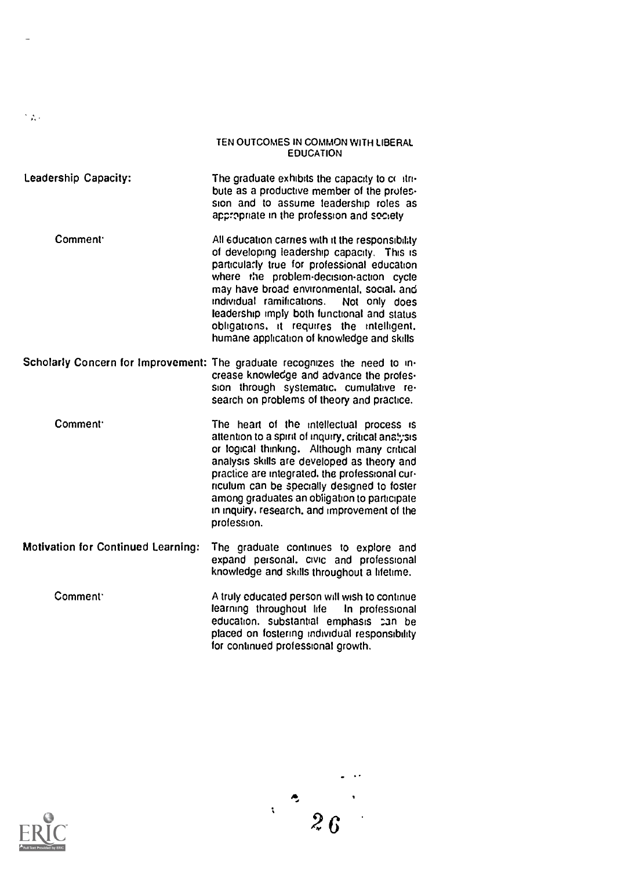#### TEN OUTCOMES IN COMMON WITH LIBERAL EDUCATION

- Leadership Capacity: The graduate exhibits the capacity to contribute as a productive member of the profession and to assume leadership roles as appropriate in the profession and society
	- Comment: Comment All education carries with it the responsibility of developing leadership capacity. This is particularly true for professional education where the problem-decision-action cycle may have broad environmental, social. and individual ramifications. Not only does leadership imply both functional and status obligations. it requires the intelligent. humane application of knowledge and skills
- Scholarly Concern for Improvement: The graduate recognizes the need to increase knowledge and advance the profession through systematic. cumulative re search on problems of theory and practice.

Comment: The heart of the intellectual process is attention to a spirit of inquiry, critical analysis or logical thinking. Although many critical analysis skills are developed as theory and practice are integrated. the professional curriculum can be specially designed to foster among graduates an obligation to participate in inquiry, research. and improvement of the profession.

- Motivation for Continued Learning: The graduate continues to explore and expand personal. civic and professional knowledge and skills throughout a lifetime.
	- Comment Comment A truly educated person will wish to continue learning throughout life In professional education. substantial emphasis can be placed on fostering individual responsibility for continued professional growth.



SA.

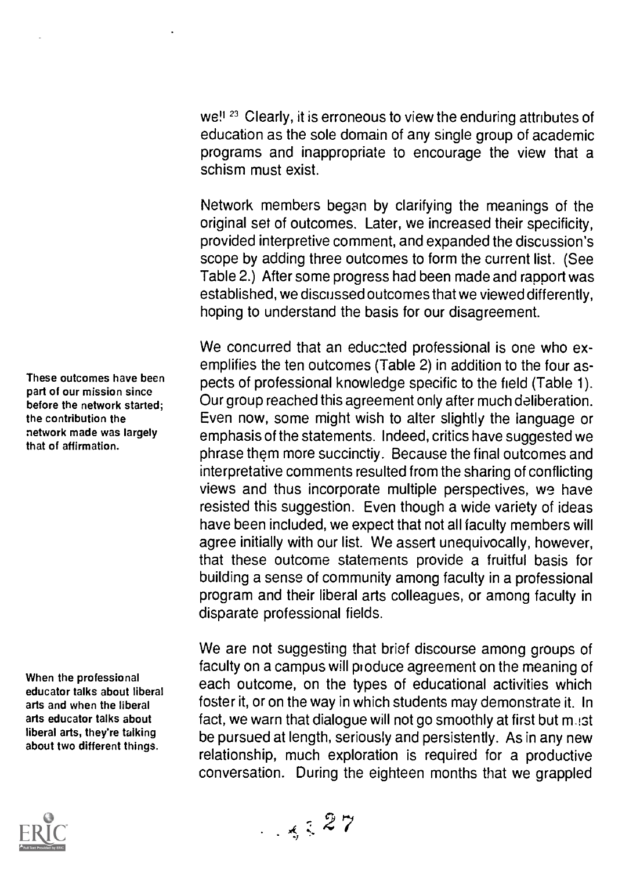we!<sup>123</sup> Clearly, it is erroneous to view the enduring attributes of education as the sole domain of any single group of academic programs and inappropriate to encourage the view that a schism must exist.

Network members began by clarifying the meanings of the original set of outcomes. Later, we increased their specificity, provided interpretive comment, and expanded the discussion's scope by adding three outcomes to form the current list. (See Table 2.) After some progress had been made and rapport was established, we discussed outcomes that we viewed differently, hoping to understand the basis for our disagreement.

We concurred that an educated professional is one who exemplifies the ten outcomes (Table 2) in addition to the four aspects of professional knowledge specific to the field (Table 1). Our group reached this agreement only after much deliberation. Even now, some might wish to alter slightly the language or emphasis of the statements. Indeed, critics have suggested we phrase them more succinctiy. Because the final outcomes and interpretative comments resulted from the sharing of conflicting views and thus incorporate multiple perspectives, we have resisted this suggestion. Even though a wide variety of ideas have been included, we expect that not all faculty members will agree initially with our list. We assert unequivocally, however, that these outcome statements provide a fruitful basis for building a sense of community among faculty in a professional program and their liberal arts colleagues, or among faculty in disparate professional fields.

We are not suggesting that brief discourse among groups of faculty on a campus will produce agreement on the meaning of each outcome, on the types of educational activities which foster it, or on the way in which students may demonstrate it. In fact, we warn that dialogue will not go smoothly at first but mast be pursued at length, seriously and persistently. As in any new relationship, much exploration is required for a productive conversation. During the eighteen months that we grappled

These outcomes have been part of our mission since before the network started; the contribution the network made was largely that of affirmation.

When the professional educator talks about liberal arts and when the liberal arts educator talks about liberal arts, they're talking about two different things.

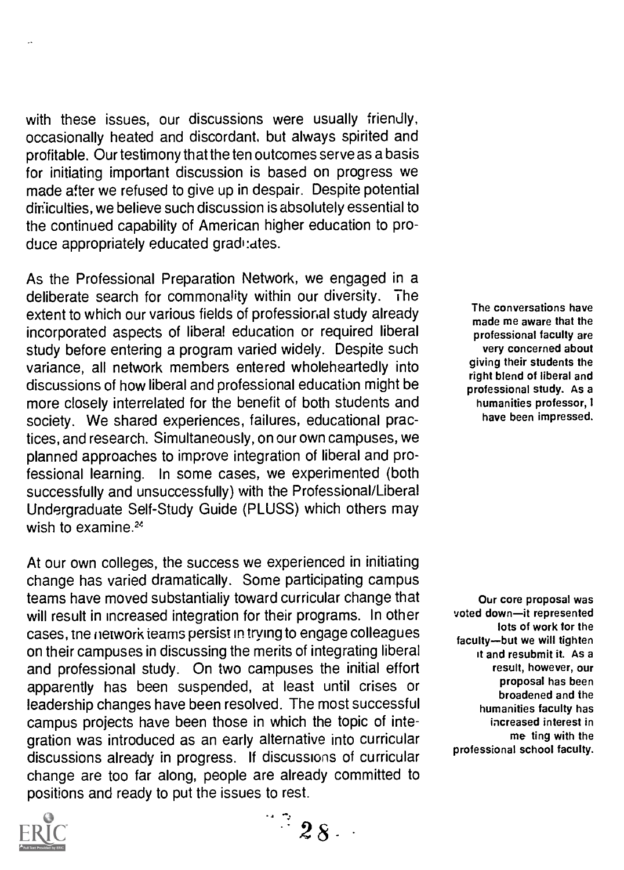with these issues, our discussions were usually friendly, occasionally heated and discordant, but always spirited and profitable. Our testimony that the ten outcomes serve as a basis for initiating important discussion is based on progress we made after we refused to give up in despair. Despite potential diriculties, we believe such discussion is absolutely essential to the continued capability of American higher education to produce appropriately educated gradi: ates.

As the Professional Preparation Network, we engaged in a deliberate search for commonality within our diversity. The extent to which our various fields of professional study already incorporated aspects of liberal education or required liberal study before entering a program varied widely. Despite such variance, all network members entered wholeheartedly into discussions of how liberal and professional education might be more closely interrelated for the benefit of both students and society. We shared experiences, failures, educational practices, and research. Simultaneously, on our own campuses, we planned approaches to improve integration of liberal and professional learning. In some cases, we experimented (both successfully and unsuccessfully) with the Professional/Liberal Undergraduate Self-Study Guide (PLUSS) which others may wish to examine.<sup>24</sup>

At our own colleges, the success we experienced in initiating change has varied dramatically. Some participating campus teams have moved substantially toward curricular change that will result in increased integration for their programs. In other cases, tne network teams persist in trying to engage colleagues on their campuses in discussing the merits of integrating liberal and professional study. On two campuses the initial effort apparently has been suspended, at least until crises or leadership changes have been resolved. The most successful campus projects have been those in which the topic of integration was introduced as an early alternative into curricular discussions already in progress. If discussions of curricular change are too far along, people are already committed to positions and ready to put the issues to rest.

The conversations have made me aware that the professional faculty are very concerned about giving their students the right blend of liberal and professional study. As a humanities professor, I have been impressed.

Our core proposal was voted down-it represented lots of work for the faculty--but we will tighten it and resubmit it. As a result, however, our proposal has been broadened and the humanities faculty has increased interest in me ting with the professional school faculty.

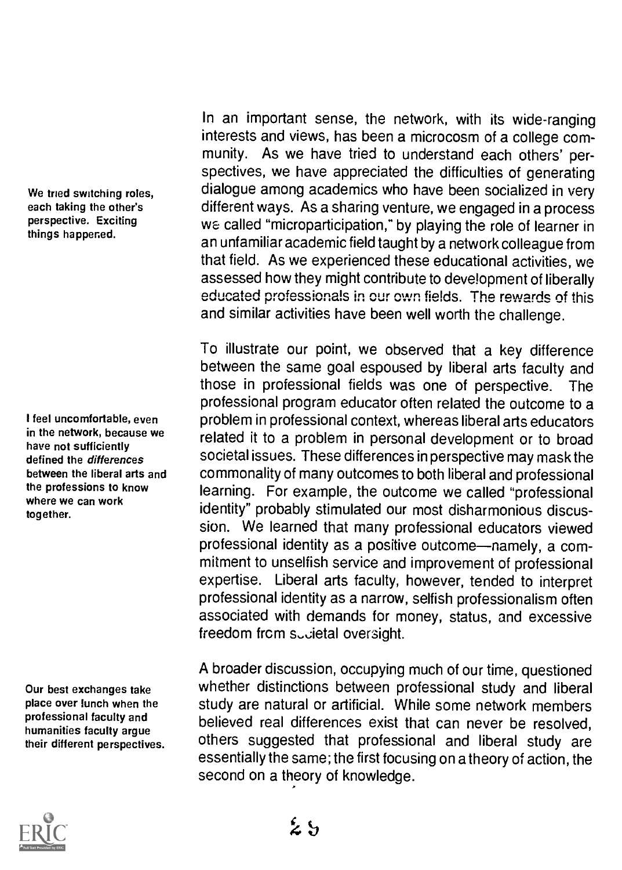We tried switching roles, each taking the other's perspective. Exciting things happened.

I feel uncomfortable, even in the network, because we have not sufficiently defined the differences between the liberal arts and the professions to know where we can work together.

Our best exchanges take place over lunch when the professional faculty and humanities faculty argue their different perspectives.

In an important sense, the network, with its wide-ranging interests and views, has been a microcosm of a college community. As we have tried to understand each others' perspectives, we have appreciated the difficulties of generating dialogue among academics who have been socialized in very different ways. As a sharing venture, we engaged in a process we called "microparticipation," by playing the role of learner in an unfamiliar academic field taught by a network colleague from that field. As we experienced these educational activities, we assessed how they might contribute to development of liberally educated professionals in our own fields. The rewards of this and similar activities have been well worth the challenge.

To illustrate our point, we observed that a key difference between the same goal espoused by liberal arts faculty and those in professional fields was one of perspective. The professional program educator often related the outcome to a problem in professional context, whereas liberal arts educators related it to a problem in personal development or to broad societal issues. These differences in perspective may mask the commonality of many outcomes to both liberal and professional learning. For example, the outcome we called "professional identity" probably stimulated our most disharmonious discussion. We learned that many professional educators viewed professional identity as a positive outcome—namely, a commitment to unselfish service and improvement of professional expertise. Liberal arts faculty, however, tended to interpret professional identity as a narrow, selfish professionalism often associated with demands for money, status, and excessive freedom from sucietal oversight.

A broader discussion, occupying much of our time, questioned whether distinctions between professional study and liberal study are natural or artificial. While some network members believed real differences exist that can never be resolved, others suggested that professional and liberal study are essentially the same; the first focusing on a theory of action, the second on a theory of knowledge.

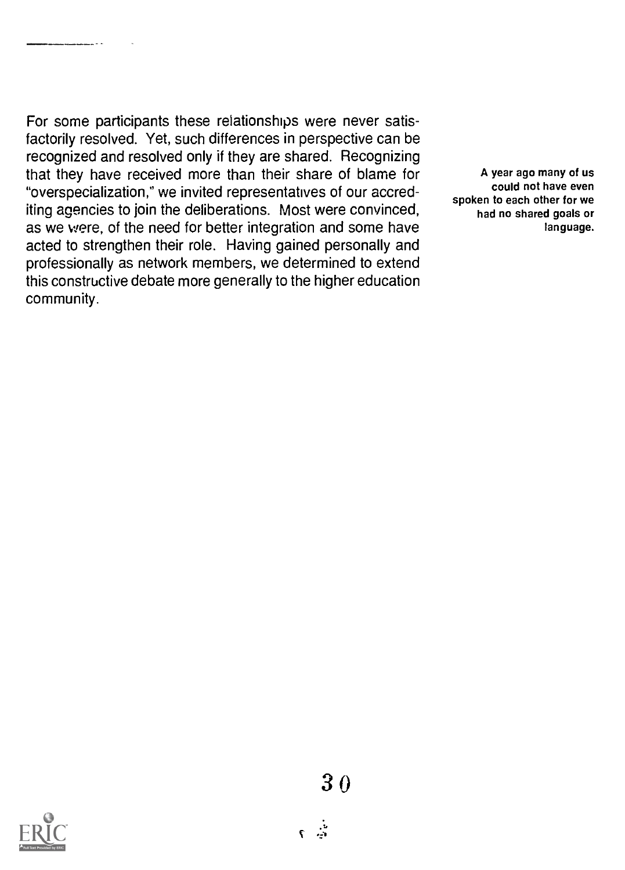\_\_\_\_\_\_\_\_

For some participants these relationships were never satisfactorily resolved. Yet, such differences in perspective can be recognized and resolved only if they are shared. Recognizing that they have received more than their share of blame for "overspecialization," we invited representatives of our accrediting agencies to join the deliberations. Most were convinced, as we were, of the need for better integration and some have acted to strengthen their role. Having gained personally and professionally as network members, we determined to extend this constructive debate more generally to the higher education community.

A year ago many of us could not have even spoken to each other for we had no shared goals or language.

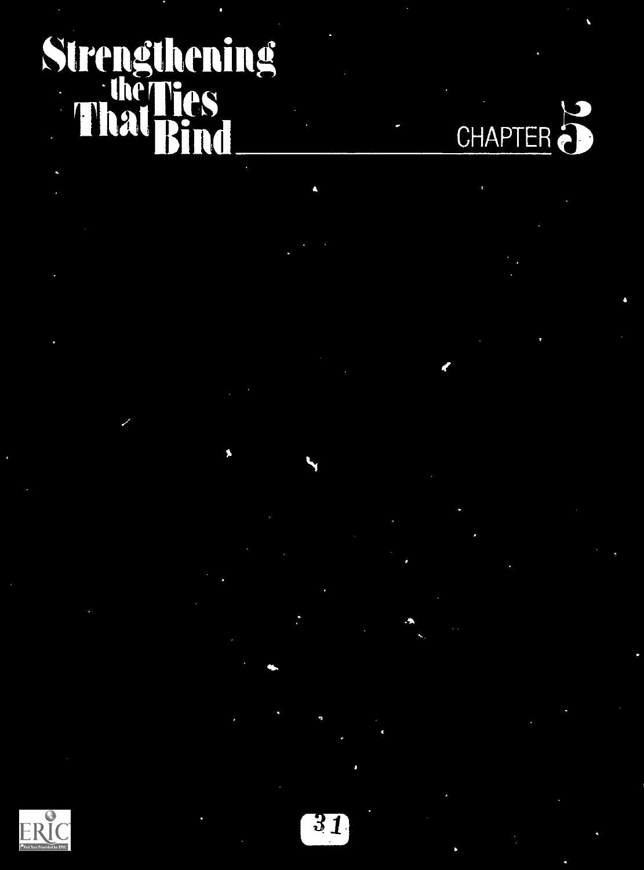# Strengthening **Inerested Street Section 1999 ThalBind**

CHAPTER<sup>2</sup>

 $\epsilon$ 

G ERIC

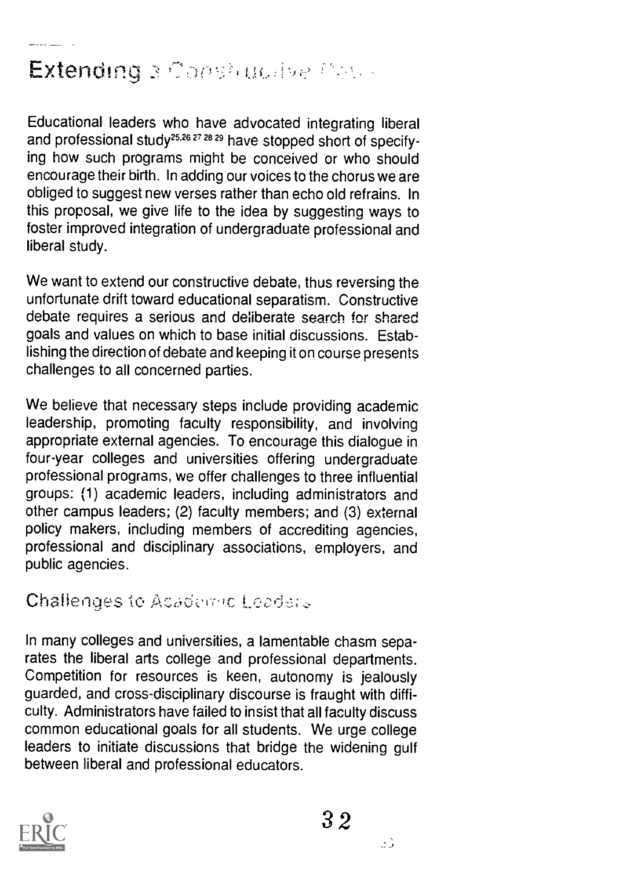## Extending a Constitutive Cali-

Educational leaders who have advocated integrating liberal and professional study2526 27 28 29 have stopped short of specifying how such programs might be conceived or who should encourage their birth. In adding our voices to the chorus we are obliged to suggest new verses rather than echo old refrains. In this proposal, we give life to the idea by suggesting ways to foster improved integration of undergraduate professional and liberal study.

We want to extend our constructive debate, thus reversing the unfortunate drift toward educational separatism. Constructive debate requires a serious and de:iberate search for shared goals and values on which to base initial discussions. Establishing the direction of debate and keeping it on course presents challenges to all concerned parties.

We believe that necessary steps include providing academic leadership, promoting faculty responsibility, and involving appropriate external agencies. To encourage this dialogue in four-year colleges and universities offering undergraduate professional programs, we offer challenges to three influential groups: (1) academic leaders, including administrators and other campus leaders; (2) faculty members; and (3) external policy makers, including members of accrediting agencies, professional and disciplinary associations, employers, and public agencies.

Challenges to Adademic Leaders

In many colleges and universities, a lamentable chasm separates the liberal arts college and professional departments. Competition for resources is keen, autonomy is jealously guarded, and cross-disciplinary discourse is fraught with difficulty. Administrators have failed to insist that all faculty discuss common educational goals for all students. We urge college leaders to initiate discussions that bridge the widening gulf between liberal and professional educators.



32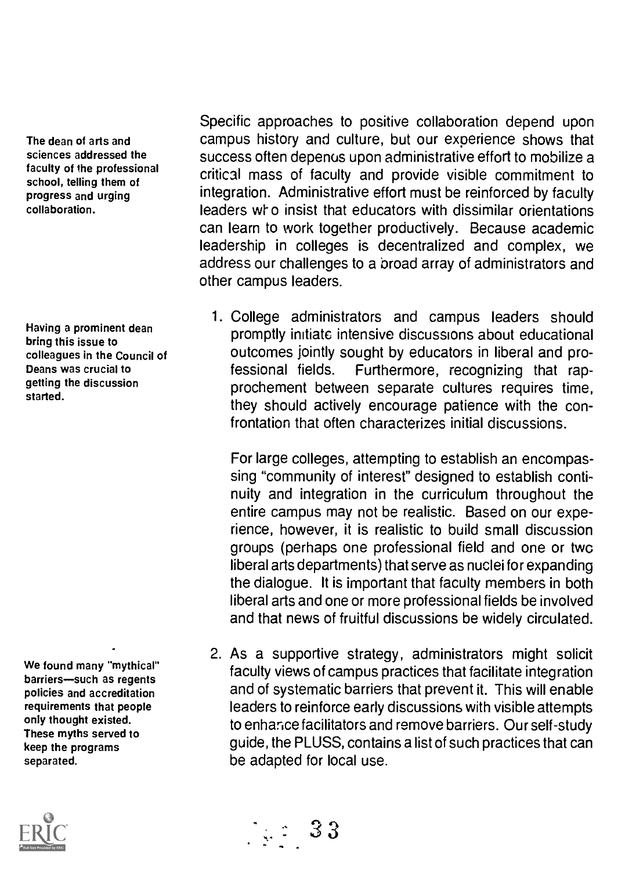The dean of arts and sciences addressed the faculty of the professional school, telling them of progress and urging collaboration.

Having a prominent dean bring this issue to colleagues in the Council of Deans was crucial to getting the discussion started.

We found many "mythical" barriers-such as regents policies and accreditation requirements that people only thought existed. These myths served to keep the programs separated.



Specific approaches to positive collaboration depend upon campus history and culture, but our experience shows that success often depenus upon administrative effort to mobilize a critical mass of faculty and provide visible commitment to integration. Administrative effort must be reinforced by faculty leaders who insist that educators with dissimilar orientations can learn to work together productively. Because academic leadership in colleges is decentralized and complex, we address our challenges to a broad array of administrators and other campus leaders.

1. College administrators and campus leaders should promptly initiate intensive discussions about educational outcomes jointly sought by educators in liberal and professional fields. Furthermore, recognizing that rapprochement between separate cultures requires time, they should actively encourage patience with the confrontation that often characterizes initial discussions.

For large colleges, attempting to establish an encompassing "community of interest" designed to establish continuity and integration in the curriculum throughout the entire campus may not be realistic. Based on our experience, however, it is realistic to build small discussion groups (perhaps one professional field and one or two liberal arts departments) that serve as nuclei for expanding the dialogue. It is important that faculty members in both liberal arts and one or more professional fields be involved and that news of fruitful discussions be widely circulated.

2. As a supportive strategy, administrators might solicit faculty views of campus practices that facilitate integration and of systematic barriers that prevent it. This will enable leaders to reinforce early discussions with visible attempts to enhance facilitators and remove barriers. Our self-study guide, the PLUSS, contains a list of such practices that can be adapted for local use.

33 \_ . .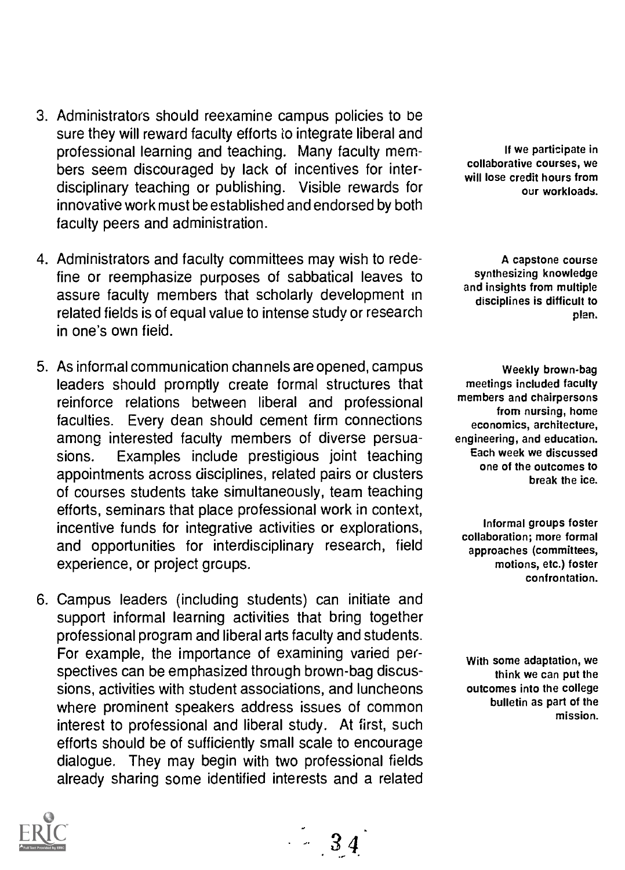- 3. Administrators should reexamine campus policies to be sure they will reward faculty efforts to integrate liberal and professional learning and teaching. Many faculty members seem discouraged by lack of incentives for interdisciplinary teaching or publishing. Visible rewards for innovative work must be established and endorsed by both faculty peers and administration.
- 4. Administrators and faculty committees may wish to redefine or reemphasize purposes of sabbatical leaves to assure faculty members that scholarly development in related fields is of equal value to intense study or research in one's own field.
- 5. As informal communication channels are opened, campus leaders should promptly create formal structures that reinforce relations between liberal and professional faculties. Every dean should cement firm connections among interested faculty members of diverse persuasions. Examples include prestigious joint teaching appointments across disciplines, related pairs or clusters of courses students take simultaneously, team teaching efforts, seminars that place professional work in context, incentive funds for integrative activities or explorations, and opportunities for interdisciplinary research, field experience, or project groups.
- 6. Campus leaders (including students) can initiate and support informal learning activities that bring together professional program and liberal arts faculty and students. For example, the importance of examining varied perspectives can be emphasized through brown-bag discussions, activities with student associations, and luncheons where prominent speakers address issues of common interest to professional and liberal study. At first, such efforts should be of sufficiently small scale to encourage dialogue. They may begin with two professional fields already sharing some identified interests and a related

 $-34$ 

If we participate in collaborative courses, we will lose credit hours from our workloads.

A capstone course synthesizing knowledge and insights from multiple disciplines is difficult to plan.

Weekly brown-bag meetings included faculty members and chairpersons from nursing, home economics, architecture, engineering, and education. Each week we discussed one of the outcomes to break the ice.

Informal groups foster collaboration; more formal approaches (committees, motions, etc.) foster confrontation.

With some adaptation, we think we can put the outcomes into the college bulletin as part of the mission.

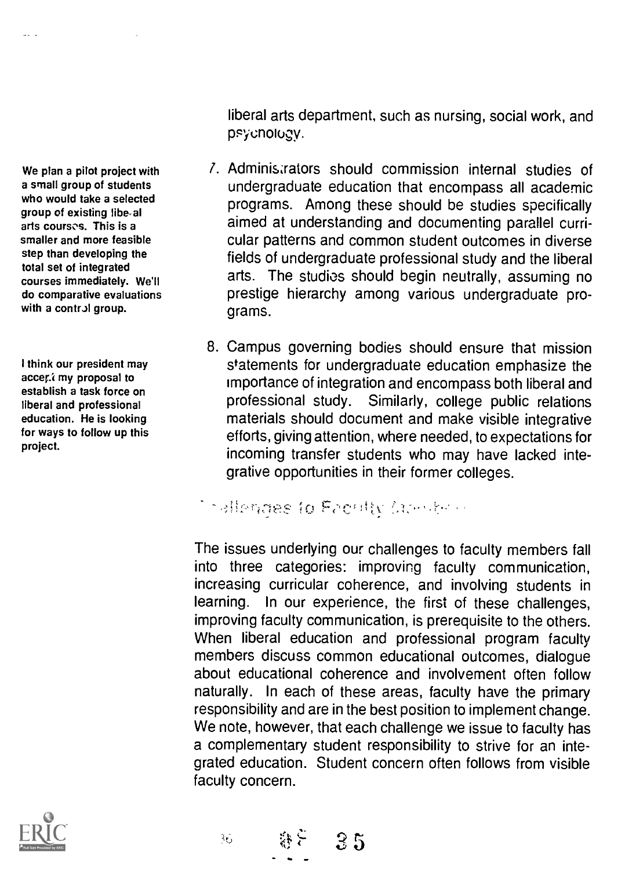We plan a pilot project with courses immediately. We'll do comparative evaluations with a control group.

I think our president may accer. my proposal to establish a task force on liberal and professional education. He is looking for ways to follow up this



a small group of students who would take a selected group of existing libe-al arts courses. This is a smaller and more feasible step than developing the total set of integrated

liberal arts department, such as nursing, social work, and psyonoiogy.

- 7. Administrators should commission internal studies of undergraduate education that encompass all academic programs. Among these should be studies specifically aimed at understanding and documenting parallel curricular patterns and common student outcomes in diverse fields of undergraduate professional study and the liberal arts. The studios should begin neutrally, assuming no prestige hierarchy among various undergraduate programs.
- 8. Campus governing bodies should ensure that mission statements for undergraduate education emphasize the importance of integration and encompass both liberal and professional study. Similarly, college public relations materials should document and make visible integrative efforts, giving attention, where needed, to expectations for incoming transfer students who may have lacked integrative opportunities in their former colleges.

**Collegates to Faculty Comdens** 

 $85 - 35$ 

रे6

The issues underlying our challenges to faculty members fall into three categories: improving faculty communication, increasing curricular coherence, and involving students in learning. In our experience, the first of these challenges, improving faculty communication, is prerequisite to the others. When liberal education and professional program faculty members discuss common educational outcomes, dialogue about educational coherence and involvement often follow naturally. In each of these areas, faculty have the primary responsibility and are in the best position to implement change. We note, however, that each challenge we issue to faculty has a complementary student responsibility to strive for an integrated education. Student concern often follows from visible faculty concern.

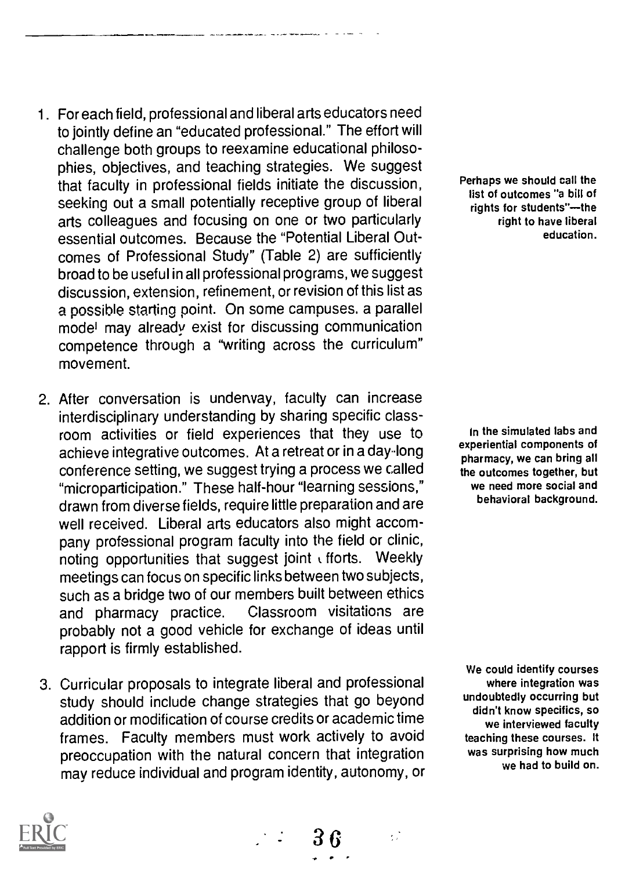- 1. For each field, professional and liberal arts educators need to jointly define an "educated professional." The effort will challenge both groups to reexamine educational philosophies, objectives, and teaching strategies. We suggest that faculty in professional fields initiate the discussion, seeking out a small potentially receptive group of liberal arts colleagues and focusing on one or two particularly essential outcomes. Because the "Potential Liberal Outcomes of Professional Study" (Table 2) are sufficiently broad to be useful in all professional programs, we suggest discussion, extension, refinement, or revision of this list as a possible starting point. On some campuses. a parallel model may already exist for discussing communication competence through a "writing across the curriculum" movement.
- 2. After conversation is underway, faculty can increase interdisciplinary understanding by sharing specific classroom activities or field experiences that they use to achieve integrative outcomes. At a retreat or in a day-long conference setting, we suggest trying a process we called "microparticipation." These half-hour "learning sessions," drawn from diverse fields, require little preparation and are well received. Liberal arts educators also might accompany professional program faculty into the field or clinic, noting opportunities that suggest joint k fforts. Weekly meetings can focus on specific links between two subjects, such as a bridge two of our members built between ethics and pharmacy practice. Classroom visitations are probably not a good vehicle for exchange of ideas until rapport is firmly established.
- 3. Curricular proposals to integrate liberal and professional study should include change strategies that go beyond addition or modification of course credits or academic time frames. Faculty members must work actively to avoid preoccupation with the natural concern that integration may reduce individual and program identity, autonomy, or

36

Perhaps we should call the list of outcomes "a bill of rights for students"--- the right to have liberal education.

In the simulated labs and experiential components of pharmacy, we can bring all the outcomes together, but we need more social and behavioral background.

We could identify courses where integration was undoubtedly occurring but didn't know specifics, so we interviewed faculty teaching these courses. It was surprising how much we had to build on.

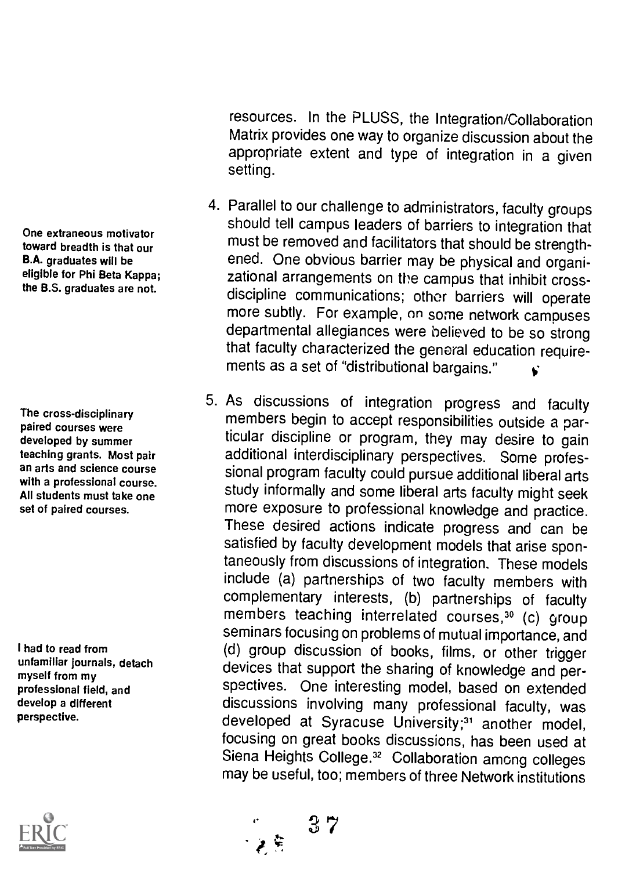One extraneous motivator toward breadth is that our B.A. graduates will be eligible for Phi Beta Kappa; the B.S. graduates are not.

The cross-disciplinary paired courses were developed by summer teaching grants. Most pair an arts and science course with a professional course. All students must take one set of paired courses.

I had to read from unfamiliar journals, detach myself from my professional field, and develop a different perspective.



resources. In the PLUSS, the Integration/Collaboration Matrix provides one way to organize discussion about the appropriate extent and type of integration in a given setting.

- 4. Parallel to our challenge to administrators, faculty groups should tell campus leaders of barriers to integration that must be removed and facilitators that should be strengthened. One obvious barrier may be physical and organizational arrangements on the campus that inhibit crossdiscipline communications; other barriers will operate more subtly. For example, on some network campuses departmental allegiances were believed to be so strong that faculty characterized the general education requirements as a set of "distributional bargains."
- 5. As discussions of integration progress and faculty members begin to accept responsibilities outside a particular discipline or program, they may desire to gain additional interdisciplinary perspectives. Some professional program faculty could pursue additional liberal arts study informally and some liberal arts faculty might seek more exposure to professional knowledge and practice. These desired actions indicate progress and can be satisfied by faculty development models that arise spontaneously from discussions of integration. These models include (a) partnerships of two faculty members with complementary interests, (b) partnerships of faculty members teaching interrelated courses,<sup>30</sup> (c) group seminars focusing on problems of mutual importance, and (d) group discussion of books, films, or other trigger devices that support the sharing of knowledge and perspectives. One interesting model, based on extended discussions involving many professional faculty, was developed at Syracuse University;<sup>31</sup> another model, focusing on great books discussions, has been used at Siena Heights College.<sup>32</sup> Collaboration among colleges may be useful, too; members of three Network institutions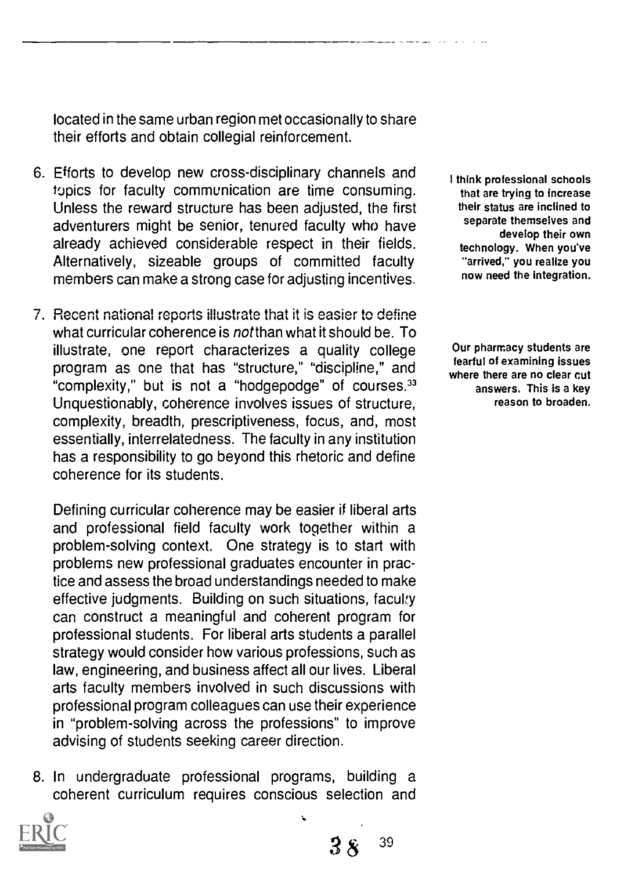located in the same urban region met occasionally to share their efforts and obtain collegial reinforcement.

- 6. Efforts to develop new cross-disciplinary channels and topics for faculty communication are time consuming. Unless the reward structure has been adjusted, the first adventurers might be senior, tenured faculty who have already achieved considerable respect in their fields. Alternatively, sizeable groups of committed faculty members can make a strong case for adjusting incentives.
- 7. Recent national reports illustrate that it is easier to define what curricular coherence is notthan what it should be. To illustrate, one report characterizes a quality college program as one that has "structure," "discipline," and "complexity," but is not a "hodgepodge" of courses.<sup>33</sup> Unquestionably, coherence involves issues of structure, complexity, breadth, prescriptiveness, focus, and, most essentially, interrelatedness. The faculty in any institution has a responsibility to go beyond this rhetoric and define coherence for its students.

Defining curricular coherence may be easier if liberal arts and professional field faculty work together within a problem-solving context. One strategy is to start with problems new professional graduates encounter in practice and assess the broad understandings needed to make effective judgments. Building on such situations, faculty can construct a meaningful and coherent program for professional students. For liberal arts students a parallel strategy would consider how various professions, such as law, engineering, and business affect all our lives. Liberal arts faculty members involved in such discussions with professional program colleagues can use their experience in "problem-solving across the professions" to improve advising of students seeking career direction.

8. In undergraduate professional programs, building a coherent curriculum requires conscious selection and



Our pharmacy students are fearful of examining issues where there are no clear cut answers. This is a key reason to broaden.



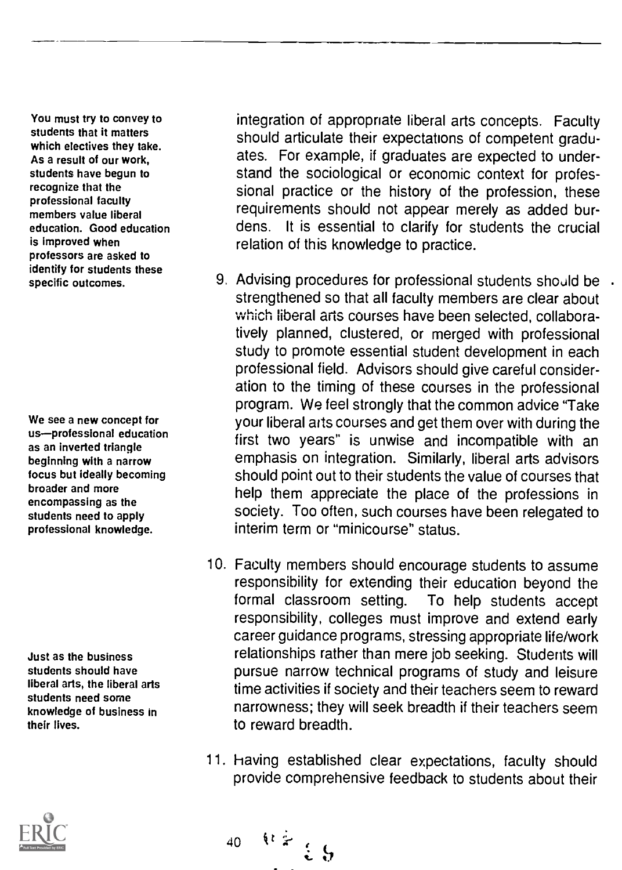You must try to convey to students that it matters which electives they take. As a result of our work, students have begun to recognize that the professional faculty members value liberal education. Good education is improved when professors are asked to identify for students these specific outcomes.

We see a new concept for us-professional education as an inverted triangle beginning with a narrow focus but Ideally becoming broader and more encompassing as the students need to apply professional knowledge.

Just as the business students should have liberal arts, the liberal arts students need some knowledge of business in their lives.



integration of appropriate liberal arts concepts. Faculty should articulate their expectations of competent graduates. For example, if graduates are expected to understand the sociological or economic context for professional practice or the history of the profession, these requirements should not appear merely as added burdens. It is essential to clarify for students the crucial relation of this knowledge to practice.

- 9. Advising procedures for professional students should be . strengthened so that all faculty members are clear about which liberal arts courses have been selected, collaboratively planned, clustered, or merged with professional study to promote essential student development in each professional field. Advisors should give careful consideration to the timing of these courses in the professional program. We feel strongly that the common advice "Take your liberal aits courses and get them over with during the first two years" is unwise and incompatible with an emphasis on integration. Similarly, liberal arts advisors should point out to their students the value of courses that help them appreciate the place of the professions in society. Too often, such courses have been relegated to interim term or "minicourse" status.
- 10. Faculty members should encourage students to assume responsibility for extending their education beyond the formal classroom setting. To help students accept responsibility, colleges must improve and extend early career guidance programs, stressing appropriate life/work relationships rather than mere job seeking. Students will pursue narrow technical programs of study and leisure time activities if society and their teachers seem to reward narrowness; they will seek breadth if their teachers seem to reward breadth.
- 11. having established clear expectations, faculty should provide comprehensive feedback to students about their

40  $\frac{1}{2}$   $\frac{1}{2}$   $\frac{1}{2}$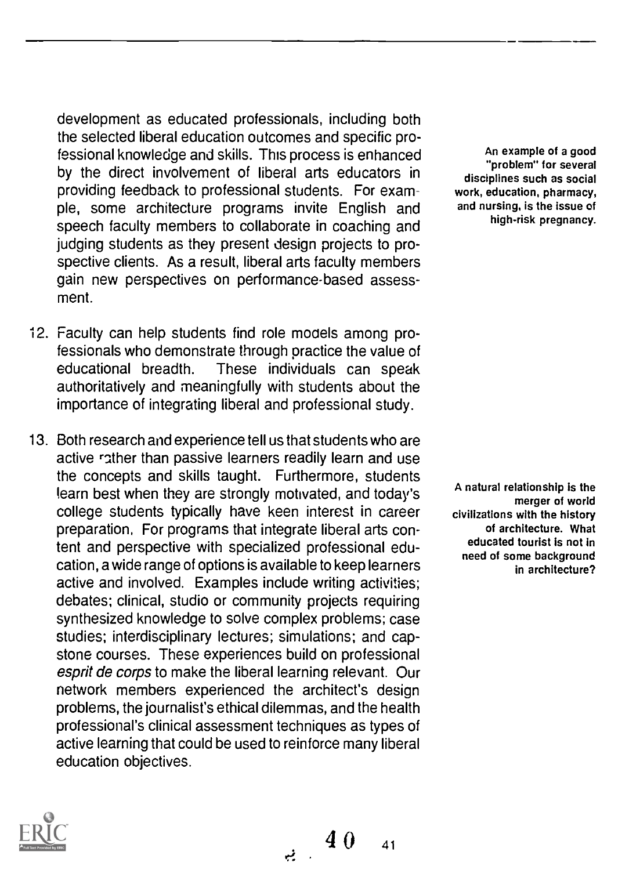development as educated professionals, including both the selected liberal education outcomes and specific professional knowledge and skills. This process is enhanced by the direct involvement of liberal arts educators in providing feedback to professional students. For example, some architecture programs invite English and speech faculty members to collaborate in coaching and judging students as they present design projects to prospective clients. As a result, liberal arts faculty members gain new perspectives on performance-based assessment.

- 12. Faculty can help students find role models among professionals who demonstrate through practice the value of educational breadth. These individuals can speak authoritatively and meaningfully with students about the importance of integrating liberal and professional study.
- 13. Both research and experience tell us that students who are active rather than passive learners readily learn and use the concepts and skills taught. Furthermore, students !earn best when they are strongly motivated, and today's college students typically have keen interest in career preparation, For programs that integrate liberal arts content and perspective with specialized professional education, a wide range of options is available to keep learners active and involved. Examples include writing activities; debates; clinical, studio or community projects requiring synthesized knowledge to solve complex problems; case studies; interdisciplinary lectures; simulations; and capstone courses. These experiences build on professional esprit de corps to make the liberal learning relevant. Our network members experienced the architect's design problems, the journalist's ethical dilemmas, and the health professional's clinical assessment techniques as types of active learning that could be used to reinforce many liberal education objectives.

 $\frac{40}{41}$  and  $\frac{40}{41}$ 

An example of a good "problem" for several disciplines such as social work, education, pharmacy, and nursing, is the issue of high-risk pregnancy.

A natural relationship is the merger of world civilizations with the history of architecture. What educated tourist is not in need of some background in architecture?

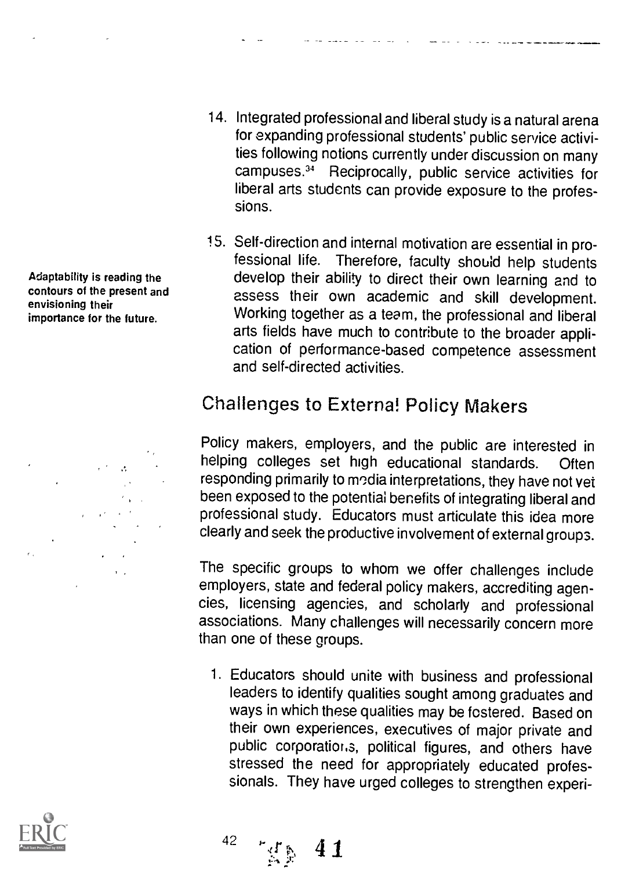- 14. Integrated professional and liberal study is a natural arena for expanding professional students' public service activities following notions currently under discussion on many campuses.34 Reciprocally, public service activities for liberal arts students can provide exposure to the professions.
- 15. Self-direction and internal motivation are essential in professional life. Therefore, faculty should help students develop their ability to direct their own learning and to assess their own academic and skill development. Working together as a team, the professional and liberal arts fields have much to contribute to the broader application of performance-based competence assessment and self-directed activities.

#### Challenges to External Policy Makers

Policy makers, employers, and the public are interested in helping colleges set high educational standards. Often responding primarily to modia interpretations, they have not vet been exposed to the potential benefits of integrating liberal and professional study. Educators must articulate this idea more clearly and seek the productive involvement of external groups.

The specific groups to whom we offer challenges include employers, state and federal policy makers, accrediting agencies, licensing agencies, and scholarly and professional associations. Many challenges will necessarily concern more than one of these groups.

<sup>1</sup> Educators should unite with business and professional leaders to identify qualities sought among graduates and ways in which these qualities may be fostered. Based on their own experiences, executives of major private and public corporations, political figures, and others have stressed the need for appropriately educated professionals. They have urged colleges to strengthen experi-

Adaptability is reading the contours of the present and envisioning their importance for the future.

 $\mathcal{A}^{(1)}$  and  $\mathcal{A}^{(2)}$ 





 $^{42}$  ,  $^{46}$   $^{67}$   $^{67}$ 41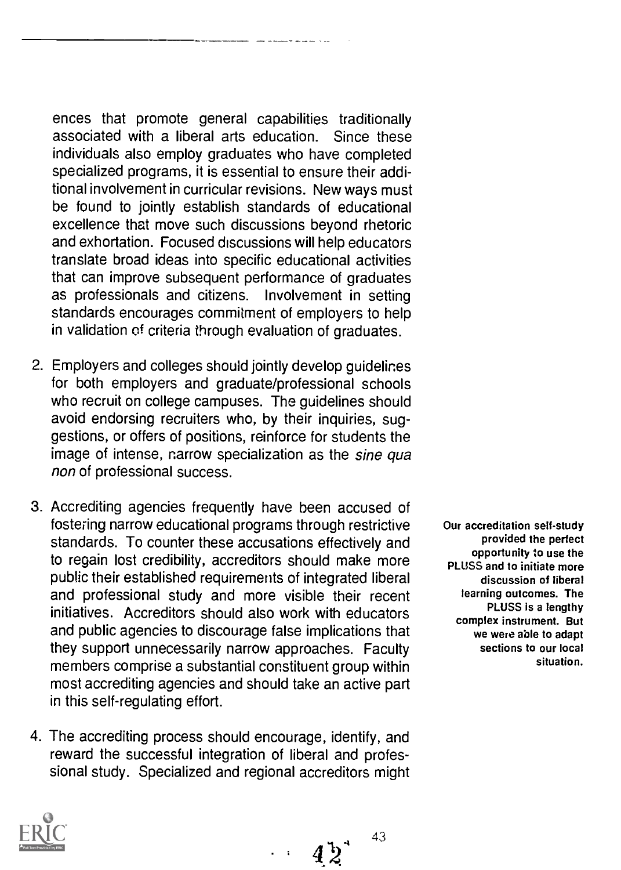ences that promote general capabilities traditionally associated with a liberal arts education. Since these individuals also employ graduates who have completed specialized programs, it is essential to ensure their additional involvement in curricular revisions. New ways must be found to jointly establish standards of educational excellence that move such discussions beyond rhetoric and exhortation. Focused discussions will help educators translate broad ideas into specific educational activities that can improve subsequent performance of graduates as professionals and citizens. Involvement in setting standards encourages commitment of employers to help in validation of criteria through evaluation of graduates.

- 2. Employers and colleges should jointly develop guidelines for both employers and graduate/professional schools who recruit on college campuses. The guidelines should avoid endorsing recruiters who, by their inquiries, suggestions, or offers of positions, reinforce for students the image of intense, narrow specialization as the sine qua non of professional success.
- 3. Accrediting agencies frequently have been accused of fostering narrow educational programs through restrictive standards. To counter these accusations effectively and to regain lost credibility, accreditors should make more public their established requirements of integrated liberal and professional study and more visible their recent initiatives. Accreditors should also work with educators and public agencies to discourage false implications that they support unnecessarily narrow approaches. Faculty members comprise a substantial constituent group within most accrediting agencies and should take an active part in this self-regulating effort.
- 4. The accrediting process should encourage, identify, and reward the successful integration of liberal and professional study. Specialized and regional accreditors might

Our accreditation self-study provided the perfect opportunity to use the PLUSS and to initiate more discussion of liberal teaming outcomes. The PLUSS is a lengthy complex instrument. But we were able to adapt sections to our local situation.

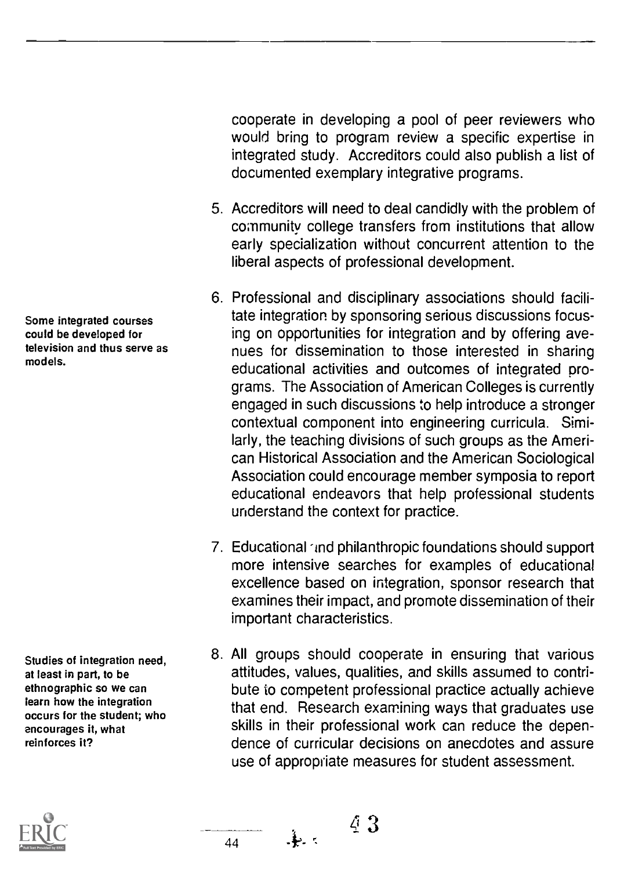Some integrated courses could be developed for television and thus serve as models.

Studies of integration need, at least in part, to be ethnographic so we can learn how the integration occurs for the student; who encourages it, what reinforces it?

cooperate in developing a pool of peer reviewers who would bring to program review a specific expertise in integrated study. Accreditors could also publish a list of documented exemplary integrative programs.

- 5. Accreditors will need to deal candidly with the problem of community college transfers from institutions that allow early specialization without concurrent attention to the liberal aspects of professional development.
- 6. Professional and disciplinary associations should facilitate integration by sponsoring serious discussions focusing on opportunities for integration and by offering avenues for dissemination to those interested in sharing educational activities and outcomes of integrated programs. The Association of American Colleges is currently engaged in such discussions to help introduce a stronger contextual component into engineering curricula. Similarly, the teaching divisions of such groups as the American Historical Association and the American Sociological Association could encourage member symposia to report educational endeavors that help professional students understand the context for practice.
- 7. Educational und philanthropic foundations should support more intensive searches for examples of educational excellence based on integration, sponsor research that examines their impact, and promote dissemination of their important characteristics.
- 8. All groups should cooperate in ensuring that various attitudes, values, qualities, and skills assumed to contribute to competent professional practice actually achieve that end. Research examining ways that graduates use skills in their professional work can reduce the dependence of curricular decisions on anecdotes and assure use of appropriate measures for student assessment.

 $\frac{44}{1}$   $\frac{1}{2}$   $\frac{3}{4}$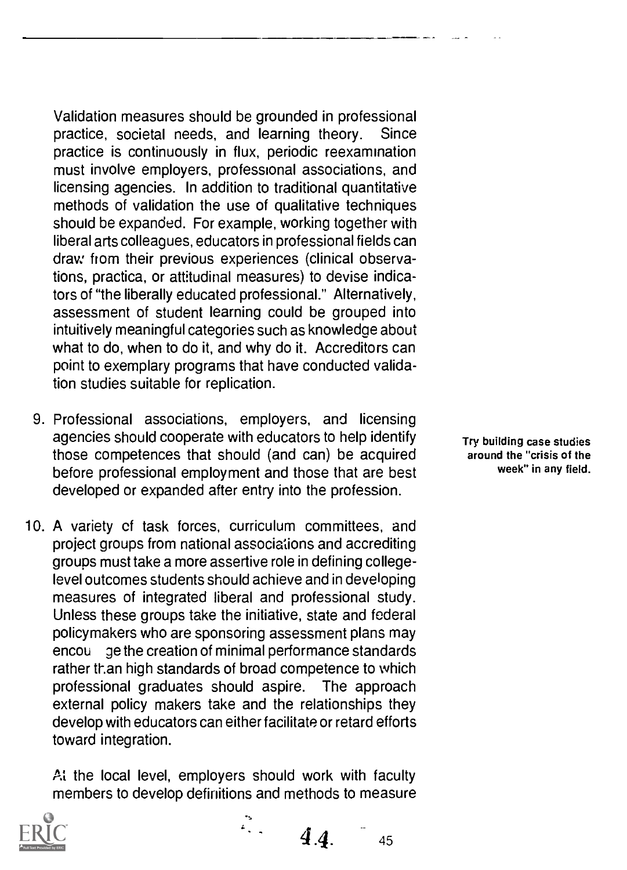Validation measures should be grounded in professional practice, societal needs, and learning theory. Since practice is continuously in flux, periodic reexamination must involve employers, professional associations, and licensing agencies. In addition to traditional quantitative methods of validation the use of qualitative techniques should be expanded. For example, working together with liberal arts colleagues, educators in professional fields can dray: from their previous experiences (clinical observations, practica, or attitudinal measures) to devise indicators of "the liberally educated professional." Alternatively, assessment of student learning could be grouped into intuitively meaningful categories such as knowledge about what to do, when to do it, and why do it. Accreditors can point to exemplary programs that have conducted validation studies suitable for replication.

- 9. Professional associations, employers, and licensing agencies should cooperate with educators to help identify those competences that should (and can) be acquired before professional employment and those that are best developed or expanded after entry into the profession.
- 10. A variety cf task forces, curriculum committees, and project groups from national associations and accrediting groups must take a more assertive role in defining collegelevel outcomes students should achieve and in developing measures of integrated liberal and professional study. Unless these groups take the initiative, state and federal policymakers who are sponsoring assessment plans may encou ge the creation of minimal performance standards rather than high standards of broad competence to which professional graduates should aspire. The approach external policy makers take and the relationships they develop with educators can either facilitate or retard efforts toward integration.

At the local level, employers should work with faculty members to develop definitions and methods to measure

 $\mathbb{Z}_2$ 



Try building case studies around the "crisis of the week" in any field.

 $4.4.$  45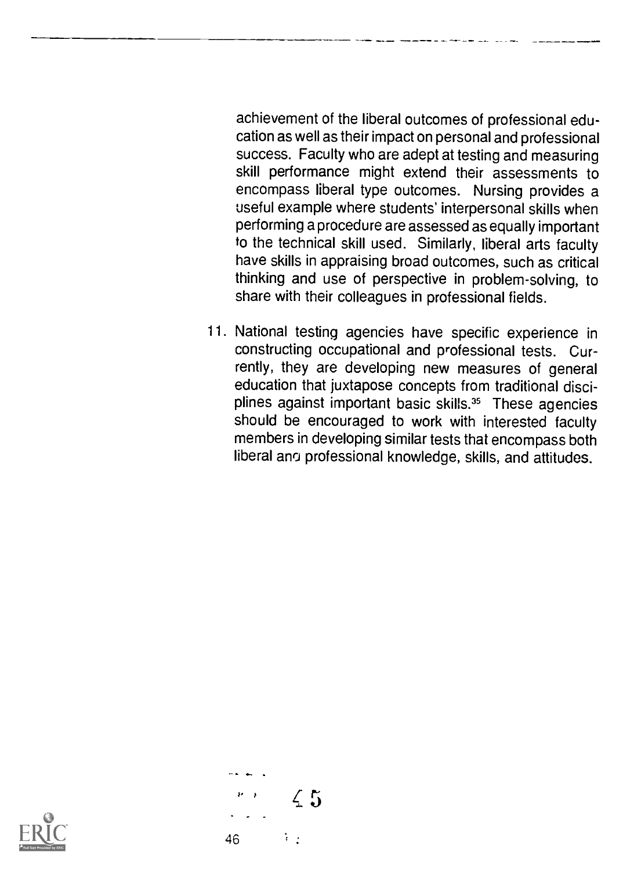achievement of the liberal outcomes of professional education as well as their impact on personal and professional success. Faculty who are adept at testing and measuring skill performance might extend their assessments to encompass liberal type outcomes. Nursing provides a useful example where students' interpersonal skills when performing a procedure are assessed as equally important to the technical skill used. Similarly, liberal arts faculty have skills in appraising broad outcomes, such as critical thinking and use of perspective in problem-solving, to share with their colleagues in professional fields.

11. National testing agencies have specific experience in constructing occupational and professional tests. Currently, they are developing new measures of general education that juxtapose concepts from traditional disciplines against important basic skills.<sup>35</sup> These agencies should be encouraged to work with interested faculty members in developing similar tests that encompass both liberal and professional knowledge, skills, and attitudes.



46

 $\overline{45}$ 

 $\mathcal{L}^{\pm}$  .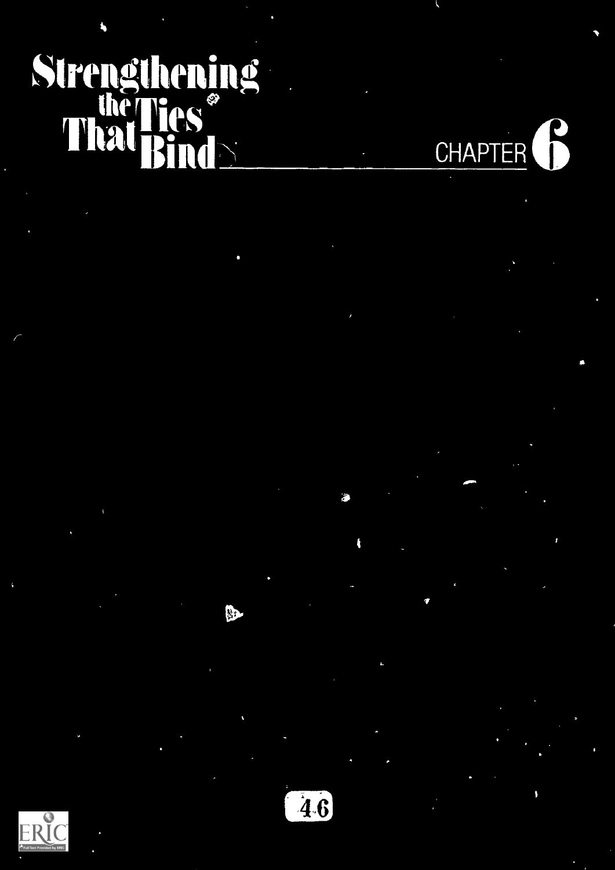# Strengthening That Hes and CHAPTER **6**





经

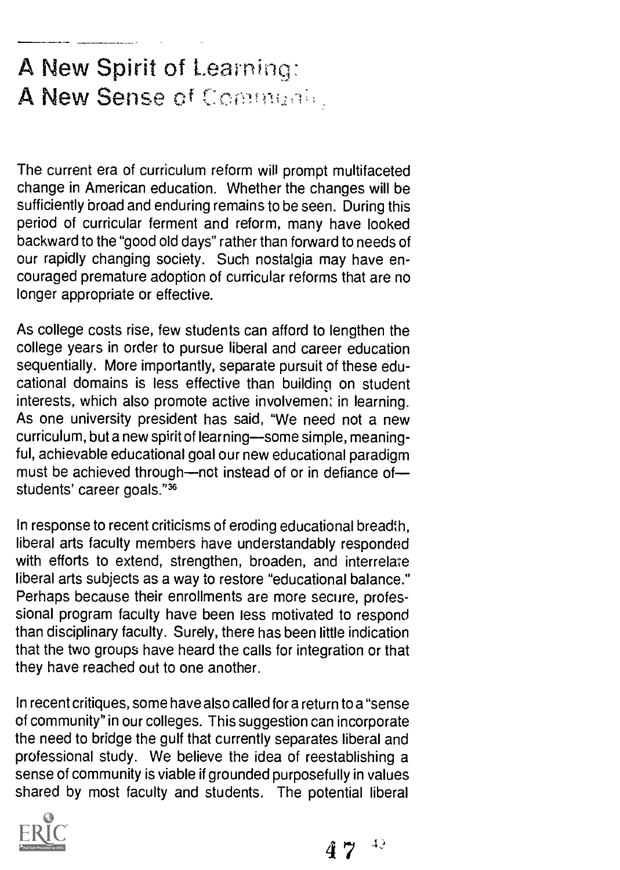### A New Spirit of Learning: A New Sense of Community

The current era of curriculum reform will prompt multifaceted change in American education. Whether the changes will be sufficiently broad and enduring remains to be seen. During this period of curricular ferment and reform, many have looked backward to the "good old days" rather than forward to needs of our rapidly changing society. Such nostalgia may have encouraged premature adoption of curricular reforms that are no longer appropriate or effective.

As college costs rise, few students can afford to lengthen the college years in order to pursue liberal and career education sequentially. More importantly, separate pursuit of these educational domains is less effective than building on student interests, which also promote active involvement in learning. As one university president has said, "We need not a new curriculum, but a new spirit of learning-some simple, meaningful, achievable educational goal our new educational paradigm must be achieved through—not instead of or in defiance of students' career goals."36

In response to recent criticisms of eroding educational breadth, liberal arts faculty members have understandably responded with efforts to extend, strengthen, broaden, and interrelate liberal arts subjects as a way to restore "educational balance." Perhaps because their enrollments are more secure, professional program faculty have been less motivated to respond than disciplinary faculty. Surely, there has been little indication that the two groups have heard the calls for integration or that they have reached out to one another.

In recent critiques, some have also called fora return to a "sense of community" in our colleges. This suggestion can incorporate the need to bridge the gulf that currently separates liberal and professional study. We believe the idea of reestablishing a sense of community is viable if grounded purposefully in values shared by most faculty and students. The potential liberal



 $4.7^{+4.3}$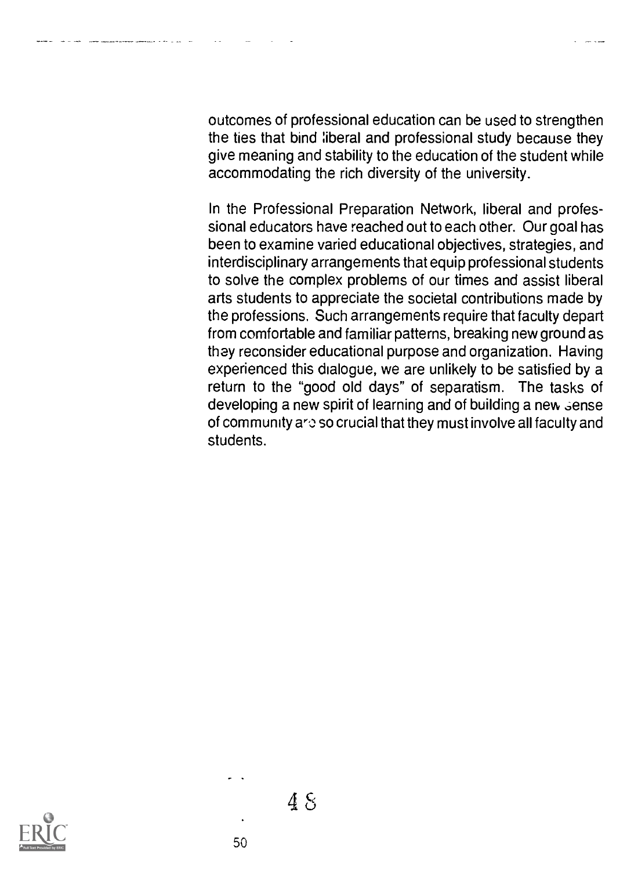outcomes of professional education can be used to strengthen the ties that bind liberal and professional study because they give meaning and stability to the education of the student while accommodating the rich diversity of the university.

In the Professional Preparation Network, liberal and professional educators have reached out to each other. Our goal has been to examine varied educational objectives, strategies, and interdisciplinary arrangements that equip professional students to solve the complex problems of our times and assist liberal arts students to appreciate the societal contributions made by the professions. Such arrangements require that faculty depart from comfortable and familiar patterns, breaking new ground as they reconsider educational purpose and organization. Having experienced this dialogue, we are unlikely to be satisfied by a return to the "good old days" of separatism. The tasks of developing a new spirit of learning and of building a new sense of community aro so crucial that they must involve all faculty and students.

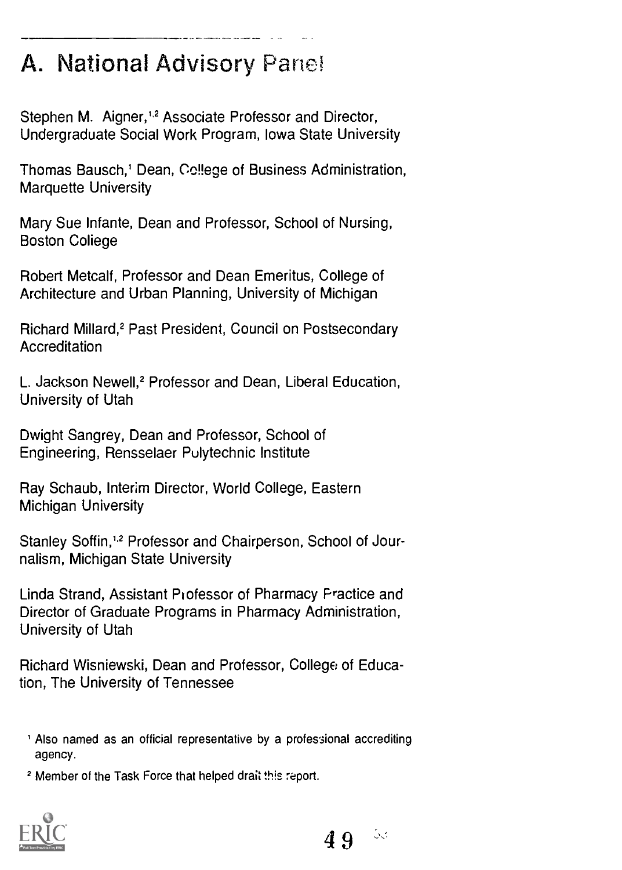### A. National Advisory Panel

Stephen M. Aigner,<sup>1,2</sup> Associate Professor and Director, Undergraduate Social Work Program, Iowa State University

Thomas Bausch,' Dean, College of Business Administration, Marquette University

Mary Sue Infante, Dean and Professor, School of Nursing, **Boston College** 

Robert Metcalf, Professor and Dean Emeritus, College of Architecture and Urban Planning, University of Michigan

Richard Millard,' Past President, Council on Postsecondary Accreditation

L. Jackson Newell,<sup>2</sup> Professor and Dean, Liberal Education, University of Utah

Dwight Sangrey, Dean and Professor, School of Engineering, Rensselaer Polytechnic Institute

Ray Schaub, Interim Director, World College, Eastern Michigan University

Stanley Soffin,<sup>1,2</sup> Professor and Chairperson, School of Journalism, Michigan State University

Linda Strand, Assistant Professor of Pharmacy Practice and Director of Graduate Programs in Pharmacy Administration, University of Utah

Richard Wisniewski, Dean and Professor, College of Education, The University of Tennessee

<sup>1</sup> Also named as an official representative by a professional accrediting agency.

<sup>2</sup> Member of the Task Force that helped drait this report.



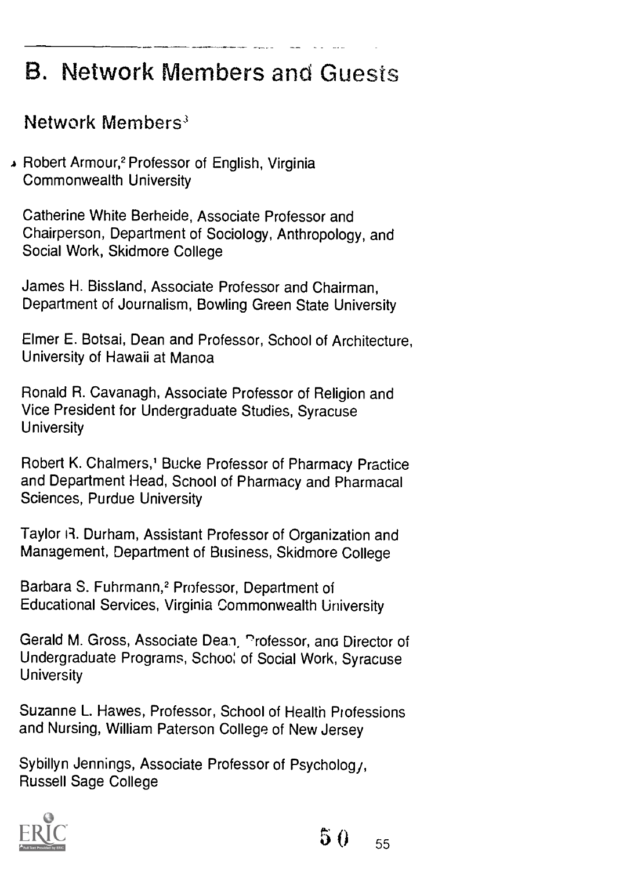## **B. Network Members and Guests**

#### Network Members'

A Robert Armour,2 Professor of English, Virginia Commonwealth University

Catherine White Berheide, Associate Professor and Chairperson, Department of Sociology, Anthropology, and Social Work, Skidmore College

James H. Bissland, Associate Professor and Chairman, Department of Journalism, Bowling Green State University

Elmer E. Botsai, Dean and Professor, School of Architecture, University of Hawaii at Manoa

Ronald R. Cavanagh, Associate Professor of Religion and Vice President for Undergraduate Studies, Syracuse **University** 

Robert K. Chalmers,' Bucke Professor of Pharmacy Practice and Department Head, School of Pharmacy and Pharmacal Sciences, Purdue University

Taylor R. Durham, Assistant Professor of Organization and Management, Department of Business, Skidmore College

Barbara S. Fuhrmann,<sup>2</sup> Professor, Department of Educational Services, Virginia Commonwealth University

Gerald M. Gross, Associate Dean, Professor, and Director of Undergraduate Programs, Schoo: of Social Work, Syracuse **University** 

Suzanne L. Hawes, Professor, School of Health Professions and Nursing, William Paterson College of New Jersey

Sybillyn Jennings, Associate Professor of Psycholog, Russell Sage College

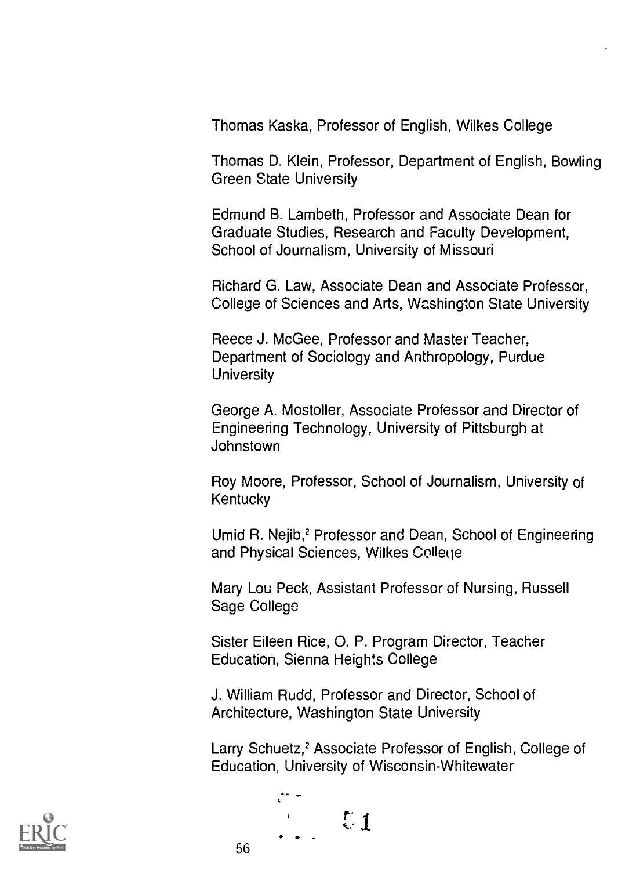Thomas Kaska, Professor of English, Wilkes College

Thomas D. Klein, Professor, Department of English, Bowling Green State University

Edmund B. Lambeth, Professor and Associate Dean for Graduate Studies, Research and Faculty Development, School of Journalism, University of Missouri

Richard G. Law, Associate Dean and Associate Professor, College of Sciences and Arts, Washington State University

Reece J. McGee, Professor and Master Teacher, Department of Sociology and Anthropology, Purdue **University** 

George A. Mostoller, Associate Professor and Director of Engineering Technology, University of Pittsburgh at Johnstown

Roy Moore, Professor, School of Journalism, University of **Kentucky** 

Umid R. Nejib,<sup>2</sup> Professor and Dean, School of Engineering and Physical Sciences, Wilkes College

Mary Lou Peck, Assistant Professor of Nursing, Russell Sage College

Sister Eileen Rice, 0. P. Program Director, Teacher Education, Sienna Heights College

J. William Rudd, Professor and Director, School of Architecture, Washington State University

Larry Schuetz,<sup>2</sup> Associate Professor of English, College of Education, University of Wisconsin-Whitewater



 $\ddot{\cdot}$  $\sim$   $\sqrt{21}$ 

56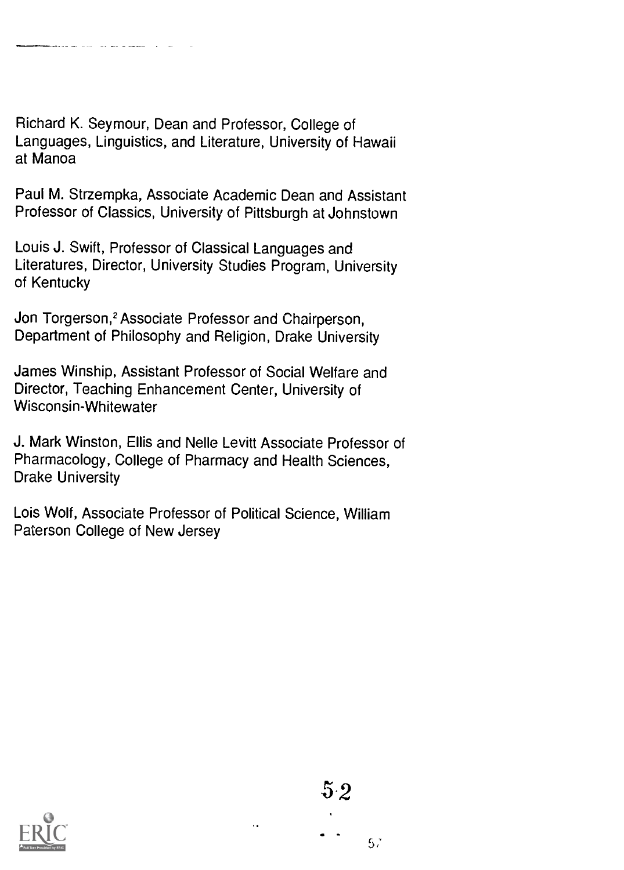Richard K. Seymour, Dean and Professor, College of Languages, Linguistics, and Literature, University of Hawaii at Manoa

Paul M. Strzempka, Associate Academic Dean and Assistant Professor of Classics, University of Pittsburgh at Johnstown

Louis J. Swift, Professor of Classical Languages and Literatures, Director, University Studies Program, University of Kentucky

Jon Torgerson,<sup>2</sup> Associate Professor and Chairperson, Department of Philosophy and Religion, Drake University

James Winship, Assistant Professor of Social Welfare and Director, Teaching Enhancement Center, University of Wisconsin-Whitewater

J. Mark Winston, Ellis and Nelle Levitt Associate Professor of Pharmacology, College of Pharmacy and Health Sciences, Drake University

Lois Wolf, Associate Professor of Political Science, William Paterson College of New Jersey



 $5^\circ\hspace{-3pt}.2$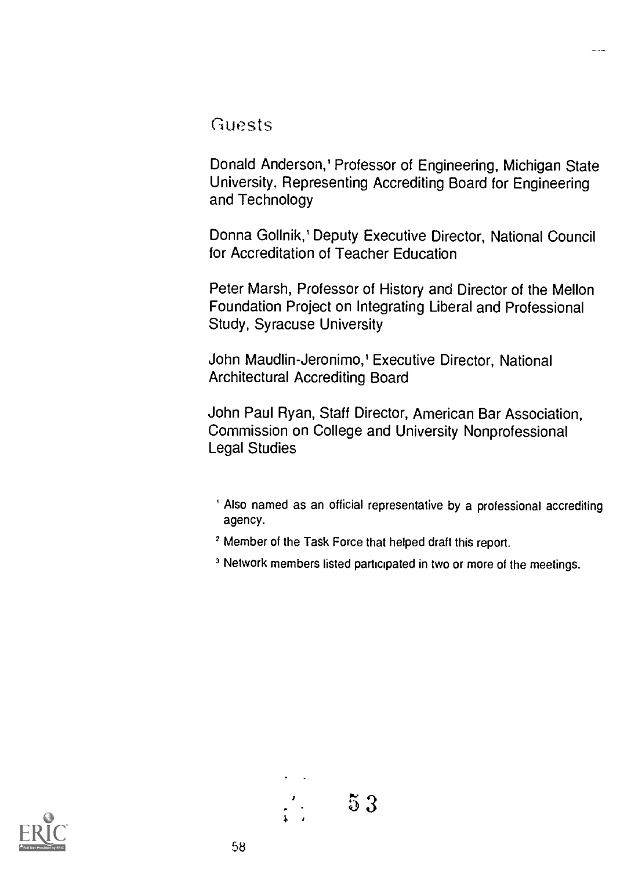#### Guests

Donald Anderson,' Professor of Engineering, Michigan State University, Representing Accrediting Board for Engineering and Technology

Donna Gollnik,' Deputy Executive Director, National Council for Accreditation of Teacher Education

Peter Marsh, Professor of History and Director of the Mellon Foundation Project on Integrating Liberal and Professional Study, Syracuse University

John Maudlin-Jeronimo,' Executive Director, National Architectural Accrediting Board

John Paul Ryan, Staff Director, American Bar Association, Commission on College and University Nonprofessional Legal Studies

- ' Also named as an official representative by a professional accrediting agency.
- 2 Member of the Task Force that helped draft this report.
- <sup>3</sup> Network members listed participated in two or more of the meetings.

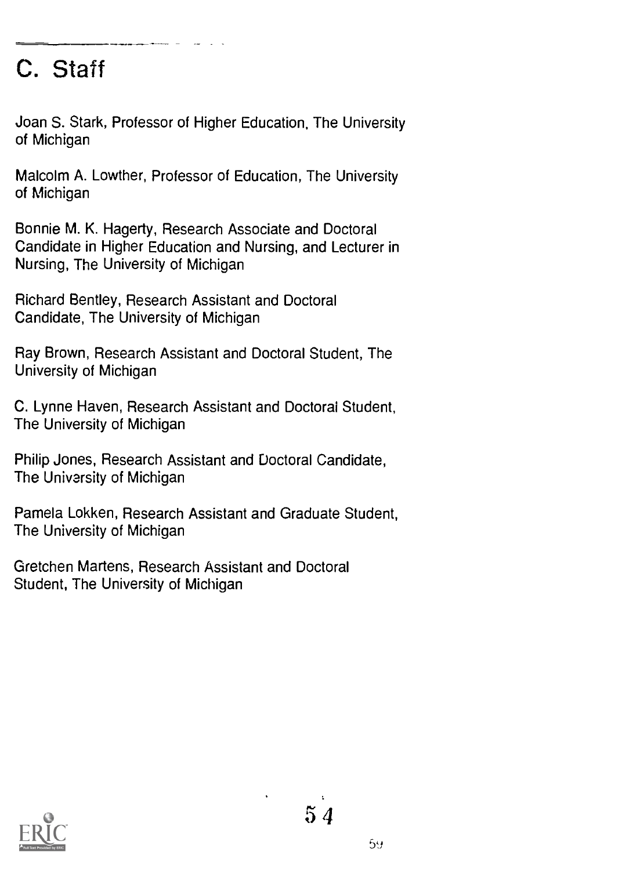## C. Staff

Joan S. Stark, Professor of Higher Education, The University of Michigan

Malcolm A. Lowther, Professor of Education, The University of Michigan

Bonnie M. K. Hagerty, Research Associate and Doctoral Candidate in Higher Education and Nursing, and Lecturer in Nursing, The University of Michigan

Richard Bentley, Research Assistant and Doctoral Candidate, The University of Michigan

Ray Brown, Research Assistant and Doctoral Student, The University of Michigan

C. Lynne Haven, Research Assistant and Doctoral Student, The University of Michigan

Philip Jones, Research Assistant and Doctoral Candidate, The University of Michigan

Pamela Lokken, Research Assistant and Graduate Student, The University of Michigan

Gretchen Martens, Research Assistant and Doctoral Student, The University of Michigan

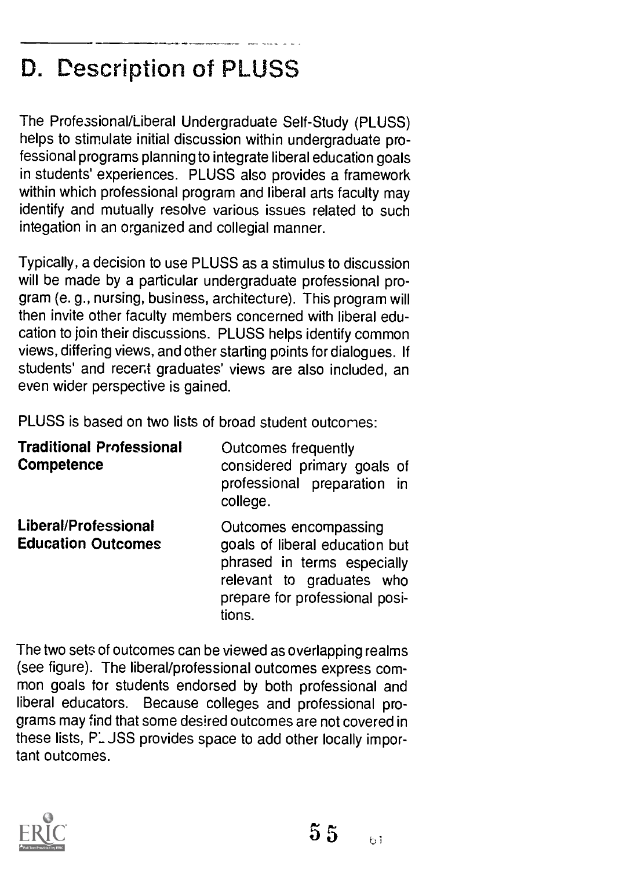## D. Description of PLUSS

The Professional/Liberal Undergraduate Self-Study (PLUSS) helps to stimulate initial discussion within undergraduate professional programs planning to integrate liberal education goals in students' experiences. PLUSS also provides a framework within which professional program and liberal arts faculty may identify and mutually resolve various issues related to such integation in an organized and collegial manner.

Typically, a decision to use PLUSS as a stimulus to discussion will be made by a particular undergraduate professional program (e. g., nursing, business, architecture). This program will then invite other faculty members concerned with liberal education to join their discussions. PLUSS helps identify common views, differing views, and other starting points for dialogues. If students' and recent graduates' views are also included, an even wider perspective is gained.

PLUSS is based on two lists of broad student outcomes:

| <b>Traditional Professional</b><br>Competence     | Outcomes frequently<br>considered primary goals of<br>professional preparation in<br>college.                                                                   |
|---------------------------------------------------|-----------------------------------------------------------------------------------------------------------------------------------------------------------------|
| Liberal/Professional<br><b>Education Outcomes</b> | Outcomes encompassing<br>goals of liberal education but<br>phrased in terms especially<br>relevant to graduates who<br>prepare for professional posi-<br>tions. |

The two sets of outcomes can be viewed as overlapping realms (see figure). The liberal/professional outcomes express common goals for students endorsed by both professional and liberal educators. Because colleges and professional programs may find that some desired outcomes are not covered in these lists, P. JSS provides space to add other locally important outcomes.

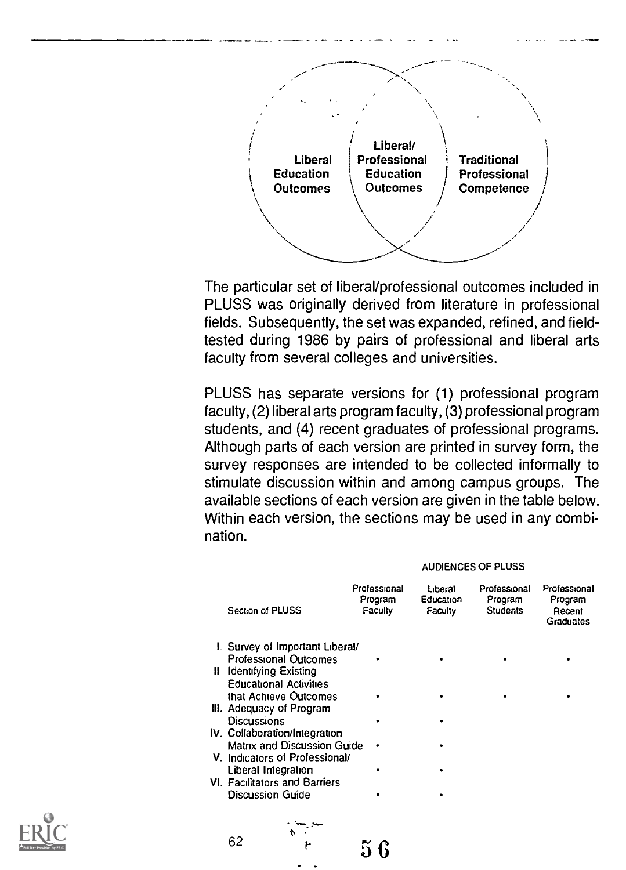

The particular set of liberal/professional outcomes included in PLUSS was originally derived from literature in professional fields. Subsequently, the set was expanded, refined, and fieldtested during 1986 by pairs of professional and liberal arts faculty from several colleges and universities.

PLUSS has separate versions for (1) professional program faculty, (2) liberal arts program faculty, (3) professional program students, and (4) recent graduates of professional programs. Although parts of each version are printed in survey form, the survey responses are intended to be collected informally to stimulate discussion within and among campus groups. The available sections of each version are given in the table below. Within each version, the sections may be used in any combination.

#### AUDIENCES OF PLUSS

| Section of PLUSS                     | Professional<br>Program<br>Faculty | Liberal<br>Education<br>Faculty | Professional<br>Program<br><b>Students</b> | Professional<br>Program<br>Recent<br>Graduates |  |
|--------------------------------------|------------------------------------|---------------------------------|--------------------------------------------|------------------------------------------------|--|
| I. Survey of Important Liberal/      |                                    |                                 |                                            |                                                |  |
| <b>Professional Outcomes</b>         |                                    |                                 |                                            |                                                |  |
| <b>II</b> Identifying Existing       |                                    |                                 |                                            |                                                |  |
| <b>Educational Activities</b>        |                                    |                                 |                                            |                                                |  |
| that Achieve Outcomes                |                                    |                                 |                                            |                                                |  |
| III. Adequacy of Program             |                                    |                                 |                                            |                                                |  |
| Discussions                          |                                    |                                 |                                            |                                                |  |
| IV. Collaboration/Integration        |                                    |                                 |                                            |                                                |  |
| Matrix and Discussion Guide          | ٠                                  |                                 |                                            |                                                |  |
| V. Indicators of Professional/       |                                    |                                 |                                            |                                                |  |
| Liberal Integration                  |                                    |                                 |                                            |                                                |  |
| <b>VI. Facilitators and Barriers</b> |                                    |                                 |                                            |                                                |  |
| <b>Discussion Guide</b>              |                                    |                                 |                                            |                                                |  |
|                                      |                                    |                                 |                                            |                                                |  |
|                                      |                                    |                                 |                                            |                                                |  |

 $56$ 



62

 $\sum_{i=1}^n$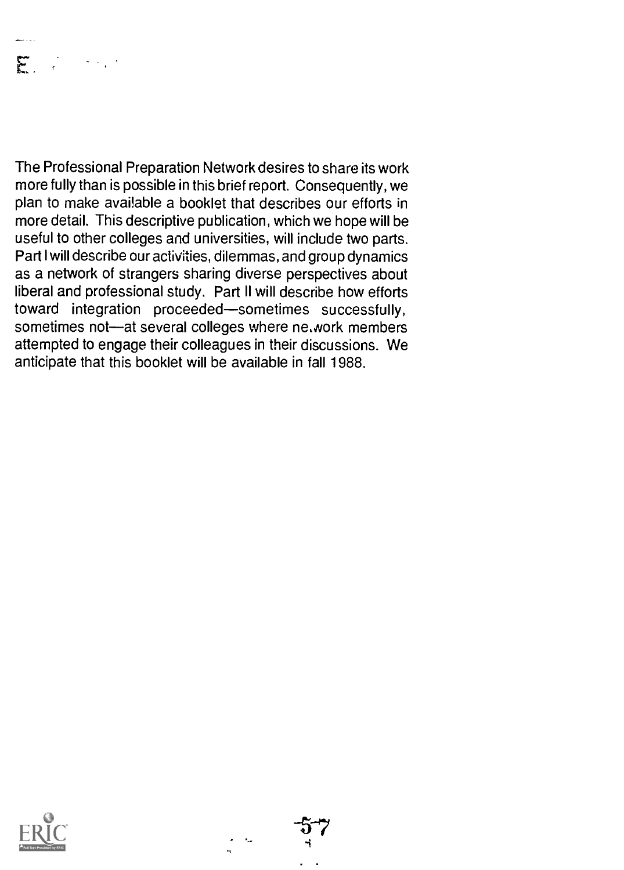## $\mathbf{F} = \begin{bmatrix} 1 & 1 & 1 \\ 1 & 1 & 1 \end{bmatrix}$

The Professional Preparation Network desires to share its work more fully than is possible in this brief report. Consequently, we plan to make avai!able a booklet that describes our efforts in more detail. This descriptive publication, which we hope will be useful to other colleges and universities, will include two parts. Part I will describe our activities, dilemmas, and group dynamics as a network of strangers sharing diverse perspectives about liberal and professional study. Part II will describe how efforts toward integration proceeded-sometimes successfully, sometimes not-at several colleges where ne, work members attempted to engage their colleagues in their discussions. We anticipate that this booklet will be available in fall 1988.



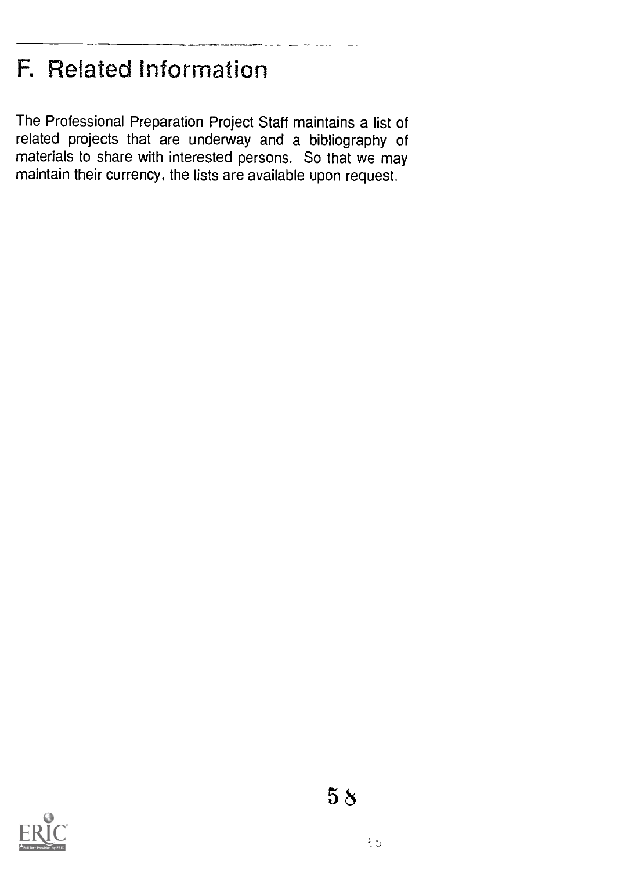## F. Related Information

The Professional Preparation Project Staff maintains a list of related projects that are underway and a bibliography of materials to share with interested persons. So that we may maintain their currency, the lists are available upon request.

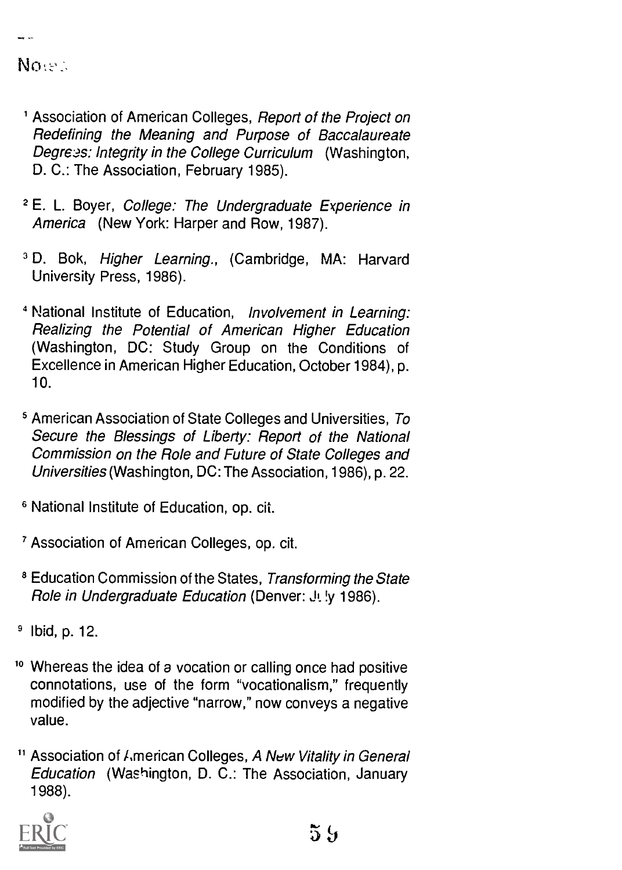#### $No <$

- ' Association of American Colleges, Report of the Project on Redefining the Meaning and Purpose of Baccalaureate Degrees: Integrity in the College Curriculum (Washington, D. C.: The Association, February 1985).
- <sup>2</sup> E. L. Boyer, College: The Undergraduate Experience in America (New York: Harper and Row, 1987).
- <sup>3</sup> D. Bok, Higher Learning., (Cambridge, MA: Harvard University Press, 1986).
- 4 National Institute of Education, Involvement in Learning: Realizing the Potential of American Higher Education (Washington, DC: Study Group on the Conditions of Excellence in American Higher Education, October 1984), p. 10.
- 5 American Association of State Colleges and Universities, To Secure the Blessings of Liberty: Report of the National Commission on the Role and Future of State Colleges and Universities (Washington, DC: The Association, 1986), p. 22.
- 6 National Institute of Education, op. cit.
- <sup>7</sup> Association of American Colleges, op. cit.
- <sup>8</sup> Education Commission of the States, Transforming the State Role in Undergraduate Education (Denver: J1. !y 1986).
- <sup>9</sup> lbid, p. 12.
- <sup>10</sup> Whereas the idea of a vocation or calling once had positive connotations, use of the form "vocationalism," frequently modified by the adjective "narrow," now conveys a negative value.
- <sup>11</sup> Association of *I*, merican Colleges, A New Vitality in General Education (Washington, D. C.: The Association, January 1988).

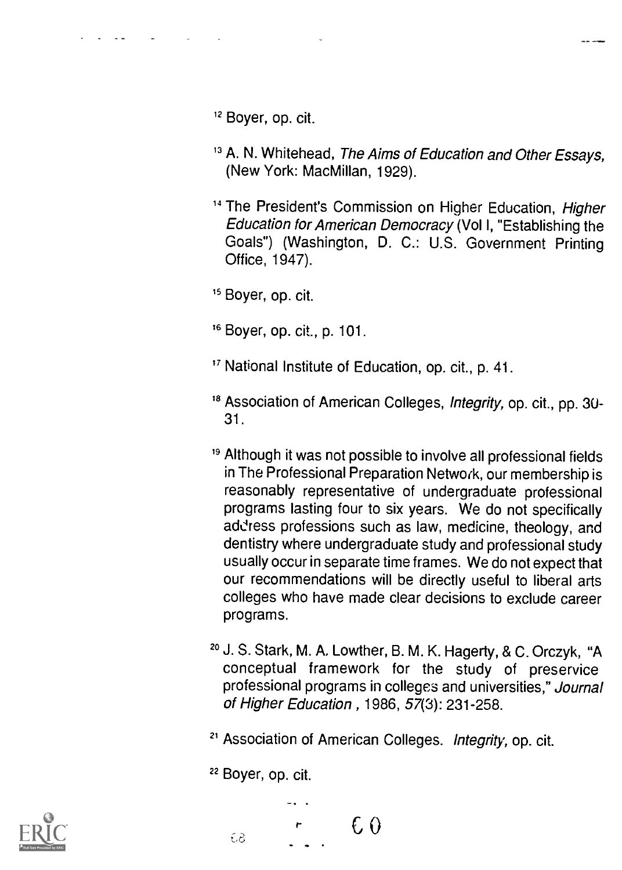12 Boyer, op. cit.

- <sup>13</sup> A. N. Whitehead, The Aims of Education and Other Essays, (New York: MacMillan, 1929).
- <sup>14</sup> The President's Commission on Higher Education, Higher Education for American Democracy (Vol I, "Establishing the Goals") (Washington, D. C.: U.S. Government Printing Office, 1947).

<sup>15</sup> Boyer, op. cit.

16 Boyer, op. cit., p. 101.

" National Institute of Education, op. cit., p. 41.

- <sup>18</sup> Association of American Colleges, Integrity, op. cit., pp. 30-31.
- <sup>19</sup> Although it was not possible to involve all professional fields in The Professional Preparation Network, our membership is reasonably representative of undergraduate professional programs lasting four to six years. We do not specifically address professions such as law, medicine, theology, and dentistry where undergraduate study and professional study usually occur in separate time frames. We do not expect that our recommendations will be directly useful to liberal arts colleges who have made clear decisions to exclude career programs.
- 20 J. S. Stark, M. A. Lowther, B. M. K. Hagerty, & C. Orczyk, "A conceptual framework for the study of preservice professional programs in colleges and universities," Journal of Higher Education , 1986, 57(3): 231-258.

<sup>21</sup> Association of American Colleges. Integrity, op. cit.

22 Boyer, op. cit.



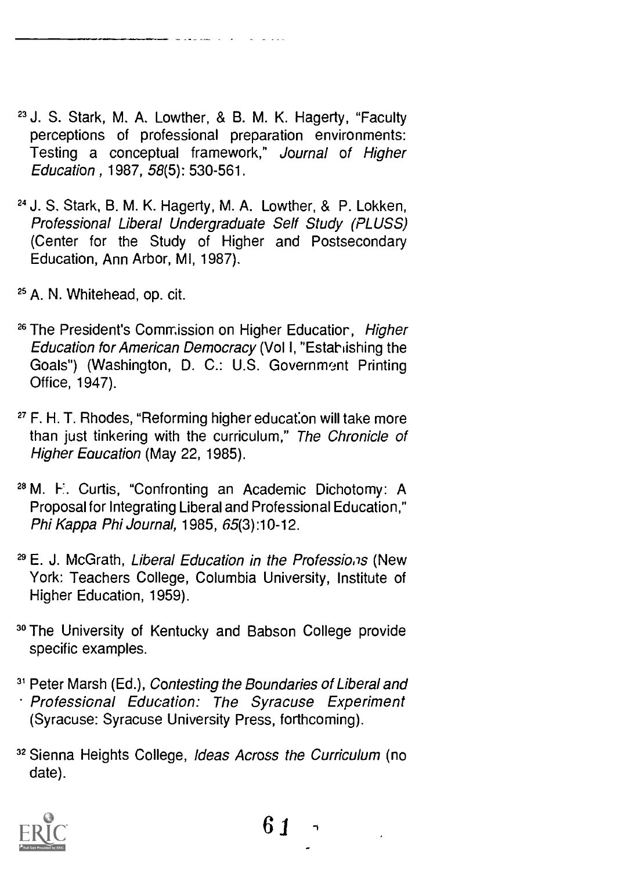<sup>23</sup> J. S. Stark, M. A. Lowther, & B. M. K. Hagerty, "Faculty perceptions of professional preparation environments: Testing a conceptual framework," Journal of Higher Education , 1987, 58(5): 530-561.

- 24 J. S. Stark, B. M. K. Hagerty, M. A. Lowther, & P. Lokken, Professional Liberal Undergraduate Self Study (PLUSS) (Center for the Study of Higher and Postsecondary Education, Ann Arbor, MI, 1987).
- 25 A. N. Whitehead, op. cit.
- <sup>26</sup> The President's Commission on Higher Educatior, Higher Education for American Democracy (Vol I, "Estahishing the Goals") (Washington, D. C.: U.S. Government Printing Office, 1947).
- 27 F. H. T. Rhodes, "Reforming higher education will take more than just tinkering with the curriculum," The Chronicle of Higher Equcation (May 22, 1985).
- 28 M. F. Curtis, "Confronting an Academic Dichotomy: A Proposal for Integrating Liberal and Professional Education," Phi Kappa Phi Journal, 1985, 65(3) :10-12.
- <sup>29</sup> E. J. McGrath, Liberal Education in the Professions (New York: Teachers College, Columbia University, Institute of Higher Education, 1959).
- 3° The University of Kentucky and Babson College provide specific examples.
- <sup>31</sup> Peter Marsh (Ed.), Contesting the Boundaries of Liberal and Professional Education: The Syracuse Experiment (Syracuse: Syracuse University Press, forthcoming).
- 32 Sienna Heights College, Ideas Across the Curriculum (no date).



61